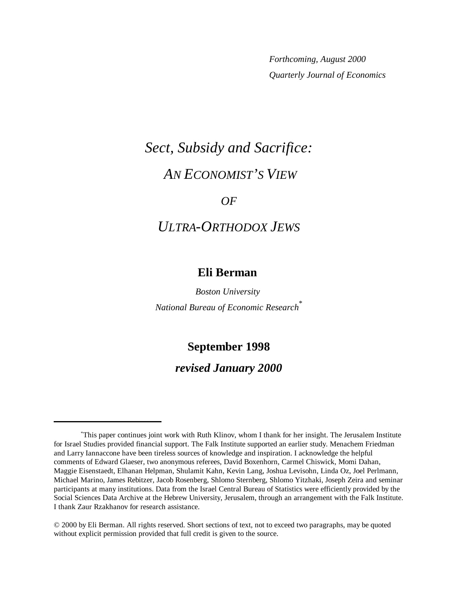*Forthcoming, August 2000 Quarterly Journal of Economics*

# *Sect, Subsidy and Sacrifice: AN ECONOMIST'S VIEW*

## *OF*

## *ULTRA-ORTHODOX JEWS*

## **Eli Berman**

*Boston University National Bureau of Economic Research*\*

## **September 1998**

## *revised January 2000*

<sup>\*</sup> This paper continues joint work with Ruth Klinov, whom I thank for her insight. The Jerusalem Institute for Israel Studies provided financial support. The Falk Institute supported an earlier study. Menachem Friedman and Larry Iannaccone have been tireless sources of knowledge and inspiration. I acknowledge the helpful comments of Edward Glaeser, two anonymous referees, David Boxenhorn, Carmel Chiswick, Momi Dahan, Maggie Eisenstaedt, Elhanan Helpman, Shulamit Kahn, Kevin Lang, Joshua Levisohn, Linda Oz, Joel Perlmann, Michael Marino, James Rebitzer, Jacob Rosenberg, Shlomo Sternberg, Shlomo Yitzhaki, Joseph Zeira and seminar participants at many institutions. Data from the Israel Central Bureau of Statistics were efficiently provided by the Social Sciences Data Archive at the Hebrew University, Jerusalem, through an arrangement with the Falk Institute. I thank Zaur Rzakhanov for research assistance.

<sup>© 2000</sup> by Eli Berman. All rights reserved. Short sections of text, not to exceed two paragraphs, may be quoted without explicit permission provided that full credit is given to the source.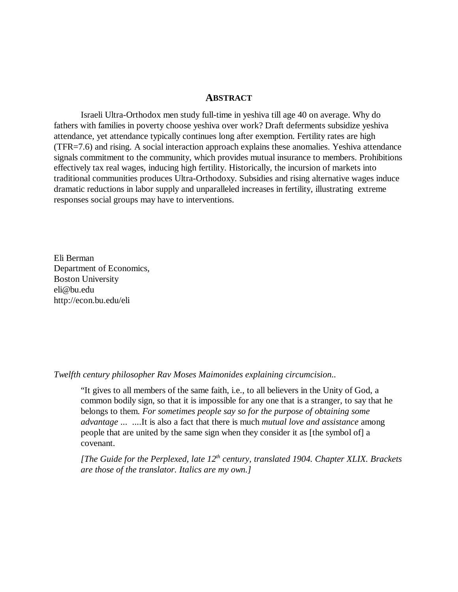#### **ABSTRACT**

Israeli Ultra-Orthodox men study full-time in yeshiva till age 40 on average. Why do fathers with families in poverty choose yeshiva over work? Draft deferments subsidize yeshiva attendance, yet attendance typically continues long after exemption. Fertility rates are high (TFR=7.6) and rising. A social interaction approach explains these anomalies. Yeshiva attendance signals commitment to the community, which provides mutual insurance to members. Prohibitions effectively tax real wages, inducing high fertility. Historically, the incursion of markets into traditional communities produces Ultra-Orthodoxy. Subsidies and rising alternative wages induce dramatic reductions in labor supply and unparalleled increases in fertility, illustrating extreme responses social groups may have to interventions.

Eli Berman Department of Economics, Boston University eli@bu.edu http://econ.bu.edu/eli

*Twelfth century philosopher Rav Moses Maimonides explaining circumcision..*

"It gives to all members of the same faith, i.e., to all believers in the Unity of God, a common bodily sign, so that it is impossible for any one that is a stranger, to say that he belongs to them. *For sometimes people say so for the purpose of obtaining some advantage* ... ....It is also a fact that there is much *mutual love and assistance* among people that are united by the same sign when they consider it as [the symbol of] a covenant.

*[The Guide for the Perplexed, late 12th century, translated 1904. Chapter XLIX. Brackets are those of the translator. Italics are my own.]*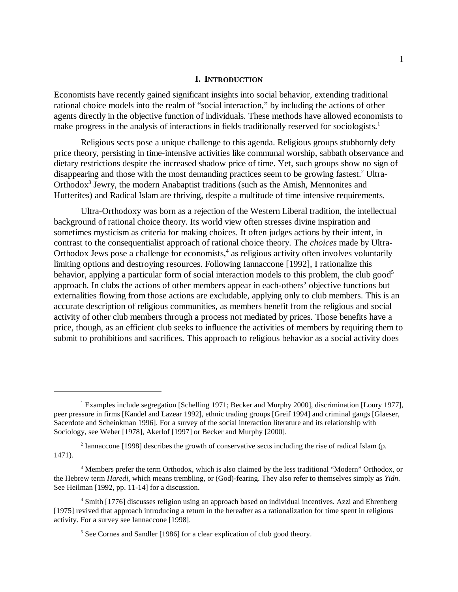#### **I. INTRODUCTION**

Economists have recently gained significant insights into social behavior, extending traditional rational choice models into the realm of "social interaction," by including the actions of other agents directly in the objective function of individuals. These methods have allowed economists to make progress in the analysis of interactions in fields traditionally reserved for sociologists.<sup>1</sup>

Religious sects pose a unique challenge to this agenda. Religious groups stubbornly defy price theory, persisting in time-intensive activities like communal worship, sabbath observance and dietary restrictions despite the increased shadow price of time. Yet, such groups show no sign of disappearing and those with the most demanding practices seem to be growing fastest.<sup>2</sup> Ultra-Orthodox<sup>3</sup> Jewry, the modern Anabaptist traditions (such as the Amish, Mennonites and Hutterites) and Radical Islam are thriving, despite a multitude of time intensive requirements.

Ultra-Orthodoxy was born as a rejection of the Western Liberal tradition, the intellectual background of rational choice theory. Its world view often stresses divine inspiration and sometimes mysticism as criteria for making choices. It often judges actions by their intent, in contrast to the consequentialist approach of rational choice theory. The *choices* made by Ultra-Orthodox Jews pose a challenge for economists,<sup>4</sup> as religious activity often involves voluntarily limiting options and destroying resources. Following Iannaccone [1992], I rationalize this behavior, applying a particular form of social interaction models to this problem, the club good<sup>5</sup> approach. In clubs the actions of other members appear in each-others' objective functions but externalities flowing from those actions are excludable, applying only to club members. This is an accurate description of religious communities, as members benefit from the religious and social activity of other club members through a process not mediated by prices. Those benefits have a price, though, as an efficient club seeks to influence the activities of members by requiring them to submit to prohibitions and sacrifices. This approach to religious behavior as a social activity does

<sup>&</sup>lt;sup>1</sup> Examples include segregation [Schelling 1971; Becker and Murphy 2000], discrimination [Loury 1977], peer pressure in firms [Kandel and Lazear 1992], ethnic trading groups [Greif 1994] and criminal gangs [Glaeser, Sacerdote and Scheinkman 1996]. For a survey of the social interaction literature and its relationship with Sociology, see Weber [1978], Akerlof [1997] or Becker and Murphy [2000].

<sup>&</sup>lt;sup>2</sup> Iannaccone [1998] describes the growth of conservative sects including the rise of radical Islam (p. 1471).

<sup>&</sup>lt;sup>3</sup> Members prefer the term Orthodox, which is also claimed by the less traditional "Modern" Orthodox, or the Hebrew term *Haredi*, which means trembling, or (God)-fearing. They also refer to themselves simply as *Yidn*. See Heilman [1992, pp. 11-14] for a discussion.

<sup>&</sup>lt;sup>4</sup> Smith [1776] discusses religion using an approach based on individual incentives. Azzi and Ehrenberg [1975] revived that approach introducing a return in the hereafter as a rationalization for time spent in religious activity. For a survey see Iannaccone [1998].

<sup>&</sup>lt;sup>5</sup> See Cornes and Sandler [1986] for a clear explication of club good theory.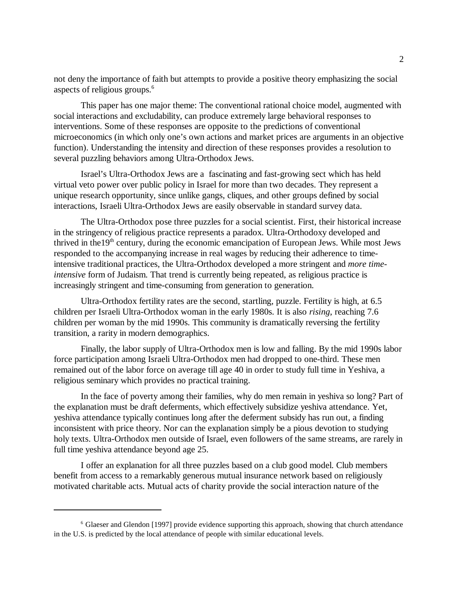not deny the importance of faith but attempts to provide a positive theory emphasizing the social aspects of religious groups.6

This paper has one major theme: The conventional rational choice model, augmented with social interactions and excludability, can produce extremely large behavioral responses to interventions. Some of these responses are opposite to the predictions of conventional microeconomics (in which only one's own actions and market prices are arguments in an objective function). Understanding the intensity and direction of these responses provides a resolution to several puzzling behaviors among Ultra-Orthodox Jews.

Israel's Ultra-Orthodox Jews are a fascinating and fast-growing sect which has held virtual veto power over public policy in Israel for more than two decades. They represent a unique research opportunity, since unlike gangs, cliques, and other groups defined by social interactions, Israeli Ultra-Orthodox Jews are easily observable in standard survey data.

The Ultra-Orthodox pose three puzzles for a social scientist. First, their historical increase in the stringency of religious practice represents a paradox. Ultra-Orthodoxy developed and thrived in the  $19<sup>th</sup>$  century, during the economic emancipation of European Jews. While most Jews responded to the accompanying increase in real wages by reducing their adherence to timeintensive traditional practices, the Ultra-Orthodox developed a more stringent and *more timeintensive* form of Judaism. That trend is currently being repeated, as religious practice is increasingly stringent and time-consuming from generation to generation.

Ultra-Orthodox fertility rates are the second, startling, puzzle. Fertility is high, at 6.5 children per Israeli Ultra-Orthodox woman in the early 1980s. It is also *rising*, reaching 7.6 children per woman by the mid 1990s. This community is dramatically reversing the fertility transition, a rarity in modern demographics.

Finally, the labor supply of Ultra-Orthodox men is low and falling. By the mid 1990s labor force participation among Israeli Ultra-Orthodox men had dropped to one-third. These men remained out of the labor force on average till age 40 in order to study full time in Yeshiva, a religious seminary which provides no practical training.

In the face of poverty among their families, why do men remain in yeshiva so long? Part of the explanation must be draft deferments, which effectively subsidize yeshiva attendance. Yet, yeshiva attendance typically continues long after the deferment subsidy has run out, a finding inconsistent with price theory. Nor can the explanation simply be a pious devotion to studying holy texts. Ultra-Orthodox men outside of Israel, even followers of the same streams, are rarely in full time yeshiva attendance beyond age 25.

I offer an explanation for all three puzzles based on a club good model. Club members benefit from access to a remarkably generous mutual insurance network based on religiously motivated charitable acts. Mutual acts of charity provide the social interaction nature of the

<sup>6</sup> Glaeser and Glendon [1997] provide evidence supporting this approach, showing that church attendance in the U.S. is predicted by the local attendance of people with similar educational levels.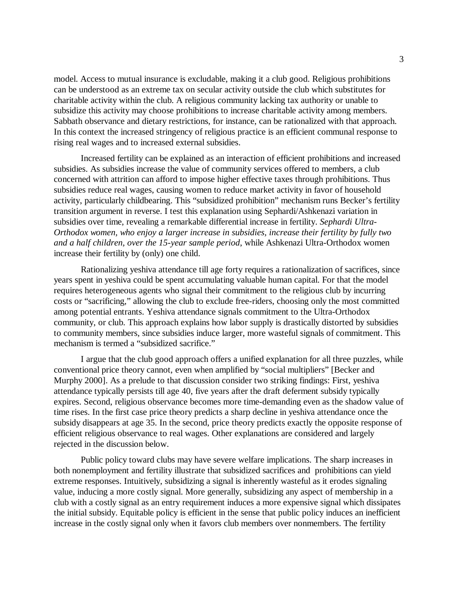model. Access to mutual insurance is excludable, making it a club good. Religious prohibitions can be understood as an extreme tax on secular activity outside the club which substitutes for charitable activity within the club. A religious community lacking tax authority or unable to subsidize this activity may choose prohibitions to increase charitable activity among members. Sabbath observance and dietary restrictions, for instance, can be rationalized with that approach. In this context the increased stringency of religious practice is an efficient communal response to rising real wages and to increased external subsidies.

Increased fertility can be explained as an interaction of efficient prohibitions and increased subsidies. As subsidies increase the value of community services offered to members, a club concerned with attrition can afford to impose higher effective taxes through prohibitions. Thus subsidies reduce real wages, causing women to reduce market activity in favor of household activity, particularly childbearing. This "subsidized prohibition" mechanism runs Becker's fertility transition argument in reverse. I test this explanation using Sephardi/Ashkenazi variation in subsidies over time, revealing a remarkable differential increase in fertility. *Sephardi Ultra-Orthodox women, who enjoy a larger increase in subsidies, increase their fertility by fully two and a half children, over the 15-year sample period*, while Ashkenazi Ultra-Orthodox women increase their fertility by (only) one child.

Rationalizing yeshiva attendance till age forty requires a rationalization of sacrifices, since years spent in yeshiva could be spent accumulating valuable human capital. For that the model requires heterogeneous agents who signal their commitment to the religious club by incurring costs or "sacrificing," allowing the club to exclude free-riders, choosing only the most committed among potential entrants. Yeshiva attendance signals commitment to the Ultra-Orthodox community, or club. This approach explains how labor supply is drastically distorted by subsidies to community members, since subsidies induce larger, more wasteful signals of commitment. This mechanism is termed a "subsidized sacrifice."

I argue that the club good approach offers a unified explanation for all three puzzles, while conventional price theory cannot, even when amplified by "social multipliers" [Becker and Murphy 2000]. As a prelude to that discussion consider two striking findings: First, yeshiva attendance typically persists till age 40, five years after the draft deferment subsidy typically expires. Second, religious observance becomes more time-demanding even as the shadow value of time rises. In the first case price theory predicts a sharp decline in yeshiva attendance once the subsidy disappears at age 35. In the second, price theory predicts exactly the opposite response of efficient religious observance to real wages. Other explanations are considered and largely rejected in the discussion below.

Public policy toward clubs may have severe welfare implications. The sharp increases in both nonemployment and fertility illustrate that subsidized sacrifices and prohibitions can yield extreme responses. Intuitively, subsidizing a signal is inherently wasteful as it erodes signaling value, inducing a more costly signal. More generally, subsidizing any aspect of membership in a club with a costly signal as an entry requirement induces a more expensive signal which dissipates the initial subsidy. Equitable policy is efficient in the sense that public policy induces an inefficient increase in the costly signal only when it favors club members over nonmembers. The fertility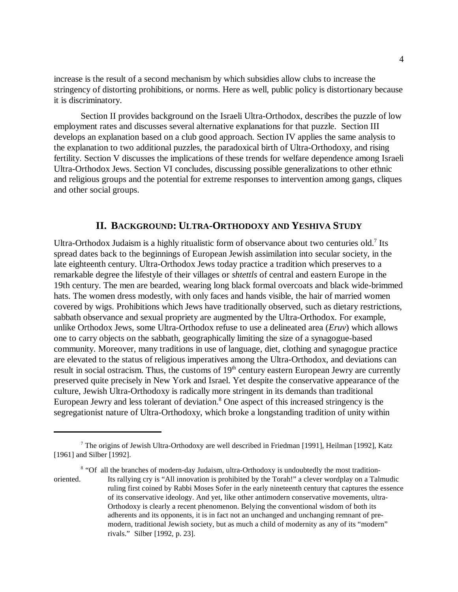increase is the result of a second mechanism by which subsidies allow clubs to increase the stringency of distorting prohibitions, or norms. Here as well, public policy is distortionary because it is discriminatory.

Section II provides background on the Israeli Ultra-Orthodox, describes the puzzle of low employment rates and discusses several alternative explanations for that puzzle. Section III develops an explanation based on a club good approach. Section IV applies the same analysis to the explanation to two additional puzzles, the paradoxical birth of Ultra-Orthodoxy, and rising fertility. Section V discusses the implications of these trends for welfare dependence among Israeli Ultra-Orthodox Jews. Section VI concludes, discussing possible generalizations to other ethnic and religious groups and the potential for extreme responses to intervention among gangs, cliques and other social groups.

#### **II. BACKGROUND: ULTRA-ORTHODOXY AND YESHIVA STUDY**

Ultra-Orthodox Judaism is a highly ritualistic form of observance about two centuries old.<sup>7</sup> Its spread dates back to the beginnings of European Jewish assimilation into secular society, in the late eighteenth century. Ultra-Orthodox Jews today practice a tradition which preserves to a remarkable degree the lifestyle of their villages or *shtettls* of central and eastern Europe in the 19th century. The men are bearded, wearing long black formal overcoats and black wide-brimmed hats. The women dress modestly, with only faces and hands visible, the hair of married women covered by wigs. Prohibitions which Jews have traditionally observed, such as dietary restrictions, sabbath observance and sexual propriety are augmented by the Ultra-Orthodox. For example, unlike Orthodox Jews, some Ultra-Orthodox refuse to use a delineated area (*Eruv*) which allows one to carry objects on the sabbath, geographically limiting the size of a synagogue-based community. Moreover, many traditions in use of language, diet, clothing and synagogue practice are elevated to the status of religious imperatives among the Ultra-Orthodox, and deviations can result in social ostracism. Thus, the customs of 19<sup>th</sup> century eastern European Jewry are currently preserved quite precisely in New York and Israel. Yet despite the conservative appearance of the culture, Jewish Ultra-Orthodoxy is radically more stringent in its demands than traditional European Jewry and less tolerant of deviation.<sup>8</sup> One aspect of this increased stringency is the segregationist nature of Ultra-Orthodoxy, which broke a longstanding tradition of unity within

<sup>8</sup> "Of all the branches of modern-day Judaism, ultra-Orthodoxy is undoubtedly the most tradition-

<sup>&</sup>lt;sup>7</sup> The origins of Jewish Ultra-Orthodoxy are well described in Friedman [1991], Heilman [1992], Katz [1961] and Silber [1992].

oriented. Its rallying cry is "All innovation is prohibited by the Torah!" a clever wordplay on a Talmudic ruling first coined by Rabbi Moses Sofer in the early nineteenth century that captures the essence of its conservative ideology. And yet, like other antimodern conservative movements, ultra-Orthodoxy is clearly a recent phenomenon. Belying the conventional wisdom of both its adherents and its opponents, it is in fact not an unchanged and unchanging remnant of premodern, traditional Jewish society, but as much a child of modernity as any of its "modern" rivals." Silber [1992, p. 23].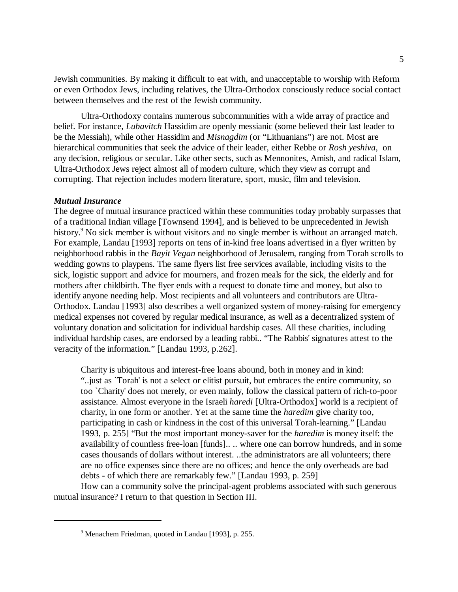Jewish communities. By making it difficult to eat with, and unacceptable to worship with Reform or even Orthodox Jews, including relatives, the Ultra-Orthodox consciously reduce social contact between themselves and the rest of the Jewish community.

Ultra-Orthodoxy contains numerous subcommunities with a wide array of practice and belief. For instance, *Lubavitch* Hassidim are openly messianic (some believed their last leader to be the Messiah), while other Hassidim and *Misnagdim* (or "Lithuanians") are not. Most are hierarchical communities that seek the advice of their leader, either Rebbe or *Rosh yeshiva*, on any decision, religious or secular. Like other sects, such as Mennonites, Amish, and radical Islam, Ultra-Orthodox Jews reject almost all of modern culture, which they view as corrupt and corrupting. That rejection includes modern literature, sport, music, film and television.

#### *Mutual Insurance*

The degree of mutual insurance practiced within these communities today probably surpasses that of a traditional Indian village [Townsend 1994], and is believed to be unprecedented in Jewish history.<sup>9</sup> No sick member is without visitors and no single member is without an arranged match. For example, Landau [1993] reports on tens of in-kind free loans advertised in a flyer written by neighborhood rabbis in the *Bayit Vegan* neighborhood of Jerusalem, ranging from Torah scrolls to wedding gowns to playpens. The same flyers list free services available, including visits to the sick, logistic support and advice for mourners, and frozen meals for the sick, the elderly and for mothers after childbirth. The flyer ends with a request to donate time and money, but also to identify anyone needing help. Most recipients and all volunteers and contributors are Ultra-Orthodox. Landau [1993] also describes a well organized system of money-raising for emergency medical expenses not covered by regular medical insurance, as well as a decentralized system of voluntary donation and solicitation for individual hardship cases. All these charities, including individual hardship cases, are endorsed by a leading rabbi.. "The Rabbis' signatures attest to the veracity of the information." [Landau 1993, p.262].

Charity is ubiquitous and interest-free loans abound, both in money and in kind: "..just as `Torah' is not a select or elitist pursuit, but embraces the entire community, so too `Charity' does not merely, or even mainly, follow the classical pattern of rich-to-poor assistance. Almost everyone in the Israeli *haredi* [Ultra-Orthodox] world is a recipient of charity, in one form or another. Yet at the same time the *haredim* give charity too, participating in cash or kindness in the cost of this universal Torah-learning." [Landau 1993, p. 255] "But the most important money-saver for the *haredim* is money itself: the availability of countless free-loan [funds].. .. where one can borrow hundreds, and in some cases thousands of dollars without interest. ..the administrators are all volunteers; there are no office expenses since there are no offices; and hence the only overheads are bad debts - of which there are remarkably few." [Landau 1993, p. 259]

How can a community solve the principal-agent problems associated with such generous mutual insurance? I return to that question in Section III.

<sup>9</sup> Menachem Friedman, quoted in Landau [1993], p. 255.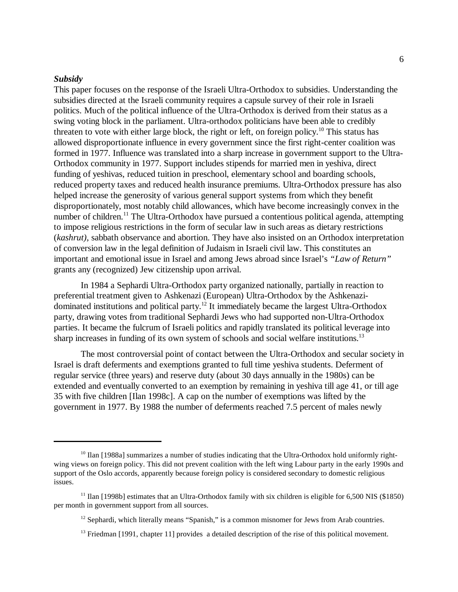#### *Subsidy*

This paper focuses on the response of the Israeli Ultra-Orthodox to subsidies. Understanding the subsidies directed at the Israeli community requires a capsule survey of their role in Israeli politics. Much of the political influence of the Ultra-Orthodox is derived from their status as a swing voting block in the parliament. Ultra-orthodox politicians have been able to credibly threaten to vote with either large block, the right or left, on foreign policy.<sup>10</sup> This status has allowed disproportionate influence in every government since the first right-center coalition was formed in 1977. Influence was translated into a sharp increase in government support to the Ultra-Orthodox community in 1977. Support includes stipends for married men in yeshiva, direct funding of yeshivas, reduced tuition in preschool, elementary school and boarding schools, reduced property taxes and reduced health insurance premiums. Ultra-Orthodox pressure has also helped increase the generosity of various general support systems from which they benefit disproportionately, most notably child allowances, which have become increasingly convex in the number of children.<sup>11</sup> The Ultra-Orthodox have pursued a contentious political agenda, attempting to impose religious restrictions in the form of secular law in such areas as dietary restrictions (*kashrut)*, sabbath observance and abortion. They have also insisted on an Orthodox interpretation of conversion law in the legal definition of Judaism in Israeli civil law. This constitutes an important and emotional issue in Israel and among Jews abroad since Israel's *"Law of Return"* grants any (recognized) Jew citizenship upon arrival.

In 1984 a Sephardi Ultra-Orthodox party organized nationally, partially in reaction to preferential treatment given to Ashkenazi (European) Ultra-Orthodox by the Ashkenazidominated institutions and political party.12 It immediately became the largest Ultra-Orthodox party, drawing votes from traditional Sephardi Jews who had supported non-Ultra-Orthodox parties. It became the fulcrum of Israeli politics and rapidly translated its political leverage into sharp increases in funding of its own system of schools and social welfare institutions.<sup>13</sup>

The most controversial point of contact between the Ultra-Orthodox and secular society in Israel is draft deferments and exemptions granted to full time yeshiva students. Deferment of regular service (three years) and reserve duty (about 30 days annually in the 1980s) can be extended and eventually converted to an exemption by remaining in yeshiva till age 41, or till age 35 with five children [Ilan 1998c]. A cap on the number of exemptions was lifted by the government in 1977. By 1988 the number of deferments reached 7.5 percent of males newly

 $10$  Ilan [1988a] summarizes a number of studies indicating that the Ultra-Orthodox hold uniformly rightwing views on foreign policy. This did not prevent coalition with the left wing Labour party in the early 1990s and support of the Oslo accords, apparently because foreign policy is considered secondary to domestic religious issues.

<sup>&</sup>lt;sup>11</sup> Ilan [1998b] estimates that an Ultra-Orthodox family with six children is eligible for 6,500 NIS (\$1850) per month in government support from all sources.

<sup>&</sup>lt;sup>12</sup> Sephardi, which literally means "Spanish," is a common misnomer for Jews from Arab countries.

 $<sup>13</sup>$  Friedman [1991, chapter 11] provides a detailed description of the rise of this political movement.</sup>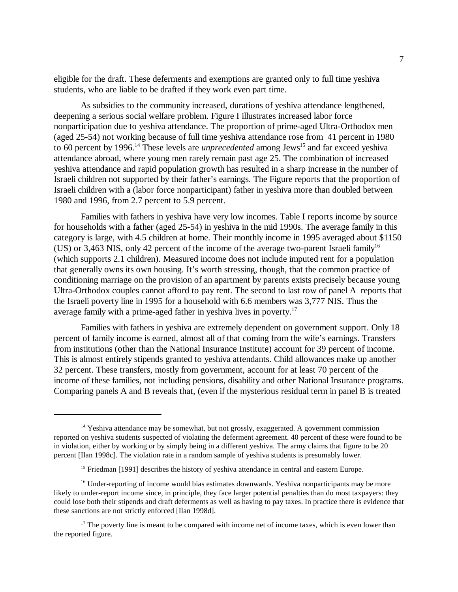eligible for the draft. These deferments and exemptions are granted only to full time yeshiva students, who are liable to be drafted if they work even part time.

As subsidies to the community increased, durations of yeshiva attendance lengthened, deepening a serious social welfare problem. Figure I illustrates increased labor force nonparticipation due to yeshiva attendance. The proportion of prime-aged Ultra-Orthodox men (aged 25-54) not working because of full time yeshiva attendance rose from 41 percent in 1980 to 60 percent by 1996.<sup>14</sup> These levels are *unprecedented* among Jews<sup>15</sup> and far exceed yeshiva attendance abroad, where young men rarely remain past age 25. The combination of increased yeshiva attendance and rapid population growth has resulted in a sharp increase in the number of Israeli children not supported by their father's earnings. The Figure reports that the proportion of Israeli children with a (labor force nonparticipant) father in yeshiva more than doubled between 1980 and 1996, from 2.7 percent to 5.9 percent.

Families with fathers in yeshiva have very low incomes. Table I reports income by source for households with a father (aged 25-54) in yeshiva in the mid 1990s. The average family in this category is large, with 4.5 children at home. Their monthly income in 1995 averaged about \$1150 (US) or 3,463 NIS, only 42 percent of the income of the average two-parent Israeli family<sup>16</sup> (which supports 2.1 children). Measured income does not include imputed rent for a population that generally owns its own housing. It's worth stressing, though, that the common practice of conditioning marriage on the provision of an apartment by parents exists precisely because young Ultra-Orthodox couples cannot afford to pay rent. The second to last row of panel A reports that the Israeli poverty line in 1995 for a household with 6.6 members was 3,777 NIS. Thus the average family with a prime-aged father in yeshiva lives in poverty.17

Families with fathers in yeshiva are extremely dependent on government support. Only 18 percent of family income is earned, almost all of that coming from the wife's earnings. Transfers from institutions (other than the National Insurance Institute) account for 39 percent of income. This is almost entirely stipends granted to yeshiva attendants. Child allowances make up another 32 percent. These transfers, mostly from government, account for at least 70 percent of the income of these families, not including pensions, disability and other National Insurance programs. Comparing panels A and B reveals that, (even if the mysterious residual term in panel B is treated

 $14$  Yeshiva attendance may be somewhat, but not grossly, exaggerated. A government commission reported on yeshiva students suspected of violating the deferment agreement. 40 percent of these were found to be in violation, either by working or by simply being in a different yeshiva. The army claims that figure to be 20 percent [Ilan 1998c]. The violation rate in a random sample of yeshiva students is presumably lower.

<sup>&</sup>lt;sup>15</sup> Friedman  $[1991]$  describes the history of yeshiva attendance in central and eastern Europe.

 $16$  Under-reporting of income would bias estimates downwards. Yeshiva nonparticipants may be more likely to under-report income since, in principle, they face larger potential penalties than do most taxpayers: they could lose both their stipends and draft deferments as well as having to pay taxes. In practice there is evidence that these sanctions are not strictly enforced [Ilan 1998d].

 $17$  The poverty line is meant to be compared with income net of income taxes, which is even lower than the reported figure.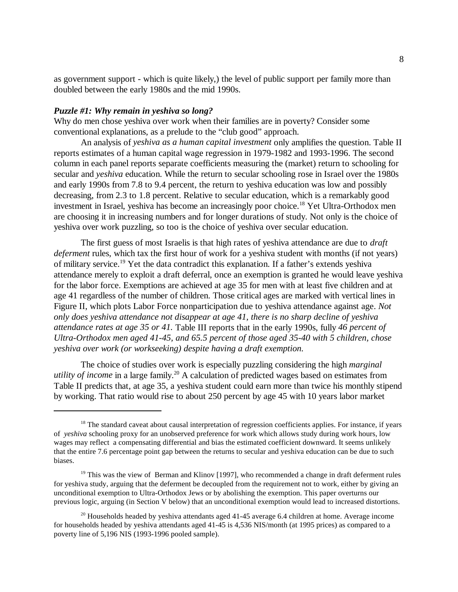as government support - which is quite likely,) the level of public support per family more than doubled between the early 1980s and the mid 1990s.

#### *Puzzle #1: Why remain in yeshiva so long?*

Why do men chose yeshiva over work when their families are in poverty? Consider some conventional explanations, as a prelude to the "club good" approach.

An analysis of *yeshiva as a human capital investment* only amplifies the question. Table II reports estimates of a human capital wage regression in 1979-1982 and 1993-1996. The second column in each panel reports separate coefficients measuring the (market) return to schooling for secular and *yeshiva* education. While the return to secular schooling rose in Israel over the 1980s and early 1990s from 7.8 to 9.4 percent, the return to yeshiva education was low and possibly decreasing, from 2.3 to 1.8 percent. Relative to secular education, which is a remarkably good investment in Israel, yeshiva has become an increasingly poor choice.<sup>18</sup> Yet Ultra-Orthodox men are choosing it in increasing numbers and for longer durations of study. Not only is the choice of yeshiva over work puzzling, so too is the choice of yeshiva over secular education.

The first guess of most Israelis is that high rates of yeshiva attendance are due to *draft deferment* rules, which tax the first hour of work for a yeshiva student with months (if not years) of military service.19 Yet the data contradict this explanation. If a father's extends yeshiva attendance merely to exploit a draft deferral, once an exemption is granted he would leave yeshiva for the labor force. Exemptions are achieved at age 35 for men with at least five children and at age 41 regardless of the number of children. Those critical ages are marked with vertical lines in Figure II, which plots Labor Force nonparticipation due to yeshiva attendance against age. *Not only does yeshiva attendance not disappear at age 41, there is no sharp decline of yeshiva attendance rates at age 35 or 41.* Table III reports that in the early 1990s, fully *46 percent of Ultra-Orthodox men aged 41-45, and 65.5 percent of those aged 35-40 with 5 children, chose yeshiva over work (or workseeking) despite having a draft exemption.* 

The choice of studies over work is especially puzzling considering the high *marginal utility of income* in a large family.<sup>20</sup> A calculation of predicted wages based on estimates from Table II predicts that, at age 35, a yeshiva student could earn more than twice his monthly stipend by working. That ratio would rise to about 250 percent by age 45 with 10 years labor market

<sup>&</sup>lt;sup>18</sup> The standard caveat about causal interpretation of regression coefficients applies. For instance, if years of *yeshiva* schooling proxy for an unobserved preference for work which allows study during work hours, low wages may reflect a compensating differential and bias the estimated coefficient downward. It seems unlikely that the entire 7.6 percentage point gap between the returns to secular and yeshiva education can be due to such biases.

<sup>&</sup>lt;sup>19</sup> This was the view of Berman and Klinov [1997], who recommended a change in draft deferment rules for yeshiva study, arguing that the deferment be decoupled from the requirement not to work, either by giving an unconditional exemption to Ultra-Orthodox Jews or by abolishing the exemption. This paper overturns our previous logic, arguing (in Section V below) that an unconditional exemption would lead to increased distortions.

 $20$  Households headed by yeshiva attendants aged 41-45 average 6.4 children at home. Average income for households headed by yeshiva attendants aged 41-45 is 4,536 NIS/month (at 1995 prices) as compared to a poverty line of 5,196 NIS (1993-1996 pooled sample).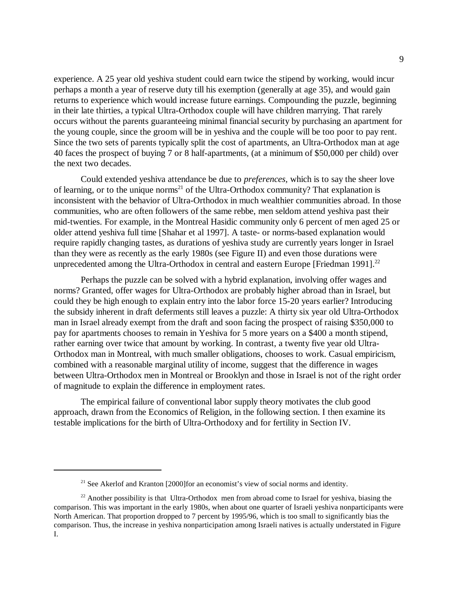experience. A 25 year old yeshiva student could earn twice the stipend by working, would incur perhaps a month a year of reserve duty till his exemption (generally at age 35), and would gain returns to experience which would increase future earnings. Compounding the puzzle, beginning in their late thirties, a typical Ultra-Orthodox couple will have children marrying. That rarely occurs without the parents guaranteeing minimal financial security by purchasing an apartment for the young couple, since the groom will be in yeshiva and the couple will be too poor to pay rent. Since the two sets of parents typically split the cost of apartments, an Ultra-Orthodox man at age 40 faces the prospect of buying 7 or 8 half-apartments, (at a minimum of \$50,000 per child) over the next two decades.

Could extended yeshiva attendance be due to *preferences,* which is to say the sheer love of learning, or to the unique norms<sup>21</sup> of the Ultra-Orthodox community? That explanation is inconsistent with the behavior of Ultra-Orthodox in much wealthier communities abroad. In those communities, who are often followers of the same rebbe, men seldom attend yeshiva past their mid-twenties. For example, in the Montreal Hasidic community only 6 percent of men aged 25 or older attend yeshiva full time [Shahar et al 1997]. A taste- or norms-based explanation would require rapidly changing tastes, as durations of yeshiva study are currently years longer in Israel than they were as recently as the early 1980s (see Figure II) and even those durations were unprecedented among the Ultra-Orthodox in central and eastern Europe [Friedman 1991].<sup>22</sup>

Perhaps the puzzle can be solved with a hybrid explanation, involving offer wages and norms? Granted, offer wages for Ultra-Orthodox are probably higher abroad than in Israel, but could they be high enough to explain entry into the labor force 15-20 years earlier? Introducing the subsidy inherent in draft deferments still leaves a puzzle: A thirty six year old Ultra-Orthodox man in Israel already exempt from the draft and soon facing the prospect of raising \$350,000 to pay for apartments chooses to remain in Yeshiva for 5 more years on a \$400 a month stipend, rather earning over twice that amount by working. In contrast, a twenty five year old Ultra-Orthodox man in Montreal, with much smaller obligations, chooses to work. Casual empiricism, combined with a reasonable marginal utility of income, suggest that the difference in wages between Ultra-Orthodox men in Montreal or Brooklyn and those in Israel is not of the right order of magnitude to explain the difference in employment rates.

The empirical failure of conventional labor supply theory motivates the club good approach, drawn from the Economics of Religion, in the following section. I then examine its testable implications for the birth of Ultra-Orthodoxy and for fertility in Section IV.

 $21$  See Akerlof and Kranton [2000] for an economist's view of social norms and identity.

 $22$  Another possibility is that Ultra-Orthodox men from abroad come to Israel for yeshiva, biasing the comparison. This was important in the early 1980s, when about one quarter of Israeli yeshiva nonparticipants were North American. That proportion dropped to 7 percent by 1995/96, which is too small to significantly bias the comparison. Thus, the increase in yeshiva nonparticipation among Israeli natives is actually understated in Figure I.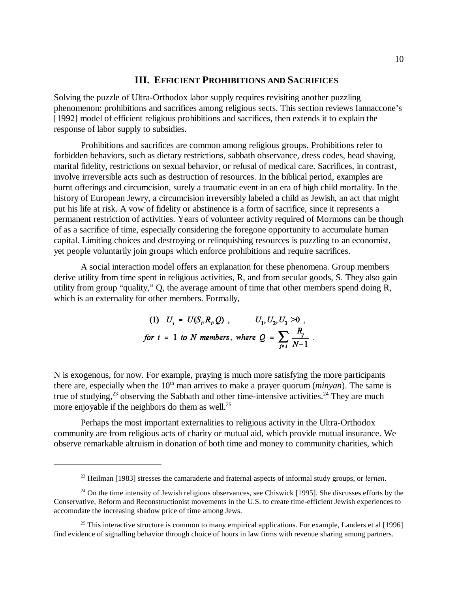#### **III. EFFICIENT PROHIBITIONS AND SACRIFICES**

Solving the puzzle of Ultra-Orthodox labor supply requires revisiting another puzzling phenomenon: prohibitions and sacrifices among religious sects. This section reviews Iannaccone's [1992] model of efficient religious prohibitions and sacrifices, then extends it to explain the response of labor supply to subsidies.

Prohibitions and sacrifices are common among religious groups. Prohibitions refer to forbidden behaviors, such as dietary restrictions, sabbath observance, dress codes, head shaving, marital fidelity, restrictions on sexual behavior, or refusal of medical care. Sacrifices, in contrast, involve irreversible acts such as destruction of resources. In the biblical period, examples are burnt offerings and circumcision, surely a traumatic event in an era of high child mortality. In the history of European Jewry, a circumcision irreversibly labeled a child as Jewish, an act that might put his life at risk. A vow of fidelity or abstinence is a form of sacrifice, since it represents a permanent restriction of activities. Years of volunteer activity required of Mormons can be though of as a sacrifice of time, especially considering the foregone opportunity to accumulate human capital. Limiting choices and destroying or relinquishing resources is puzzling to an economist, yet people voluntarily join groups which enforce prohibitions and require sacrifices.

A social interaction model offers an explanation for these phenomena. Group members derive utility from time spent in religious activities, R, and from secular goods, S. They also gain utility from group "quality," Q, the average amount of time that other members spend doing R, which is an externality for other members. Formally,

(1) 
$$
U_i = U(S_p R_p Q)
$$
,  $U_1, U_2, U_3 > 0$ ,  
for  $i = 1$  to  $N$  members, where  $Q = \sum_{j \neq i} \frac{R_j}{N-1}$ .

N is exogenous, for now. For example, praying is much more satisfying the more participants there are, especially when the  $10<sup>th</sup>$  man arrives to make a prayer quorum (*minyan*). The same is true of studying,<sup>23</sup> observing the Sabbath and other time-intensive activities.<sup>24</sup> They are much more enjoyable if the neighbors do them as well.<sup>25</sup>

Perhaps the most important externalities to religious activity in the Ultra-Orthodox community are from religious acts of charity or mutual aid, which provide mutual insurance. We observe remarkable altruism in donation of both time and money to community charities, which

<sup>23</sup> Heilman [1983] stresses the camaraderie and fraternal aspects of informal study groups, or *lernen.*

<sup>&</sup>lt;sup>24</sup> On the time intensity of Jewish religious observances, see Chiswick [1995]. She discusses efforts by the Conservative, Reform and Reconstructionist movements in the U.S. to create time-efficient Jewish experiences to accomodate the increasing shadow price of time among Jews.

<sup>&</sup>lt;sup>25</sup> This interactive structure is common to many empirical applications. For example, Landers et al  $[1996]$ find evidence of signalling behavior through choice of hours in law firms with revenue sharing among partners.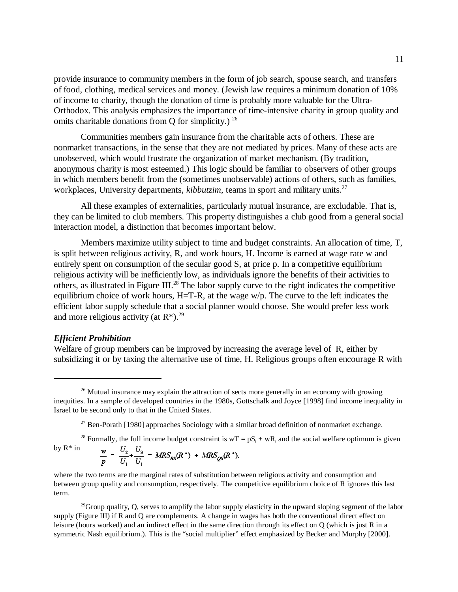provide insurance to community members in the form of job search, spouse search, and transfers of food, clothing, medical services and money. (Jewish law requires a minimum donation of 10% of income to charity, though the donation of time is probably more valuable for the Ultra-Orthodox. This analysis emphasizes the importance of time-intensive charity in group quality and omits charitable donations from Q for simplicity.)  $^{26}$ 

Communities members gain insurance from the charitable acts of others. These are nonmarket transactions, in the sense that they are not mediated by prices. Many of these acts are unobserved, which would frustrate the organization of market mechanism. (By tradition, anonymous charity is most esteemed.) This logic should be familiar to observers of other groups in which members benefit from the (sometimes unobservable) actions of others, such as families, workplaces, University departments, *kibbutzim*, teams in sport and military units.<sup>27</sup>

All these examples of externalities, particularly mutual insurance, are excludable. That is, they can be limited to club members. This property distinguishes a club good from a general social interaction model, a distinction that becomes important below.

Members maximize utility subject to time and budget constraints. An allocation of time, T, is split between religious activity, R, and work hours, H. Income is earned at wage rate w and entirely spent on consumption of the secular good S, at price p. In a competitive equilibrium religious activity will be inefficiently low, as individuals ignore the benefits of their activities to others, as illustrated in Figure III.28 The labor supply curve to the right indicates the competitive equilibrium choice of work hours, H=T-R, at the wage w/p. The curve to the left indicates the efficient labor supply schedule that a social planner would choose. She would prefer less work and more religious activity (at  $R^*$ ).<sup>29</sup>

#### *Efficient Prohibition*

Welfare of group members can be improved by increasing the average level of R, either by subsidizing it or by taxing the alternative use of time, H. Religious groups often encourage R with

<sup>28</sup> Formally, the full income budget constraint is  $wT = pS_i + wR_i$  and the social welfare optimum is given by  $\mathsf{R}^*$  in  $\frac{w}{p} = \frac{U_2}{U_1} + \frac{U_3}{U_1} = MRS_{RS}(R^*) + MRS_{QS}(R^*).$ 

where the two terms are the marginal rates of substitution between religious activity and consumption and between group quality and consumption, respectively. The competitive equilibrium choice of R ignores this last term.

<sup>29</sup>Group quality, Q, serves to amplify the labor supply elasticity in the upward sloping segment of the labor supply (Figure III) if R and Q are complements. A change in wages has both the conventional direct effect on leisure (hours worked) and an indirect effect in the same direction through its effect on Q (which is just R in a symmetric Nash equilibrium.). This is the "social multiplier" effect emphasized by Becker and Murphy [2000].

<sup>&</sup>lt;sup>26</sup> Mutual insurance may explain the attraction of sects more generally in an economy with growing inequities. In a sample of developed countries in the 1980s, Gottschalk and Joyce [1998] find income inequality in Israel to be second only to that in the United States.

<sup>&</sup>lt;sup>27</sup> Ben-Porath [1980] approaches Sociology with a similar broad definition of nonmarket exchange.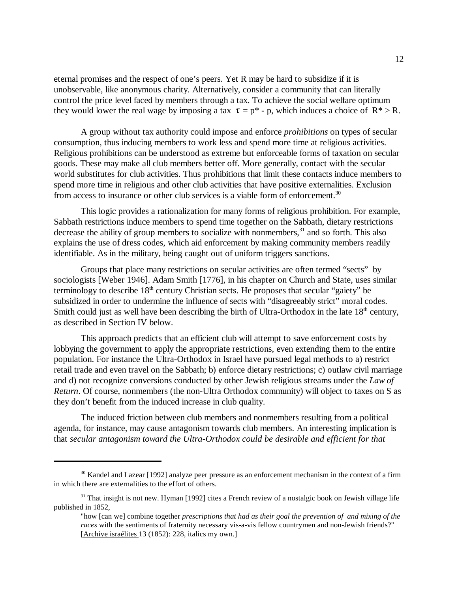eternal promises and the respect of one's peers. Yet R may be hard to subsidize if it is unobservable, like anonymous charity. Alternatively, consider a community that can literally control the price level faced by members through a tax. To achieve the social welfare optimum they would lower the real wage by imposing a tax  $\tau = p^* - p$ , which induces a choice of  $R^* > R$ .

A group without tax authority could impose and enforce *prohibitions* on types of secular consumption, thus inducing members to work less and spend more time at religious activities. Religious prohibitions can be understood as extreme but enforceable forms of taxation on secular goods. These may make all club members better off. More generally, contact with the secular world substitutes for club activities. Thus prohibitions that limit these contacts induce members to spend more time in religious and other club activities that have positive externalities. Exclusion from access to insurance or other club services is a viable form of enforcement.30

This logic provides a rationalization for many forms of religious prohibition. For example, Sabbath restrictions induce members to spend time together on the Sabbath, dietary restrictions decrease the ability of group members to socialize with nonmembers, $31$  and so forth. This also explains the use of dress codes, which aid enforcement by making community members readily identifiable. As in the military, being caught out of uniform triggers sanctions.

Groups that place many restrictions on secular activities are often termed "sects" by sociologists [Weber 1946]. Adam Smith [1776], in his chapter on Church and State, uses similar terminology to describe 18<sup>th</sup> century Christian sects. He proposes that secular "gaiety" be subsidized in order to undermine the influence of sects with "disagreeably strict" moral codes. Smith could just as well have been describing the birth of Ultra-Orthodox in the late  $18<sup>th</sup>$  century, as described in Section IV below.

This approach predicts that an efficient club will attempt to save enforcement costs by lobbying the government to apply the appropriate restrictions, even extending them to the entire population. For instance the Ultra-Orthodox in Israel have pursued legal methods to a) restrict retail trade and even travel on the Sabbath; b) enforce dietary restrictions; c) outlaw civil marriage and d) not recognize conversions conducted by other Jewish religious streams under the *Law of Return*. Of course, nonmembers (the non-Ultra Orthodox community) will object to taxes on S as they don't benefit from the induced increase in club quality.

The induced friction between club members and nonmembers resulting from a political agenda, for instance, may cause antagonism towards club members. An interesting implication is that *secular antagonism toward the Ultra-Orthodox could be desirable and efficient for that*

<sup>&</sup>lt;sup>30</sup> Kandel and Lazear [1992] analyze peer pressure as an enforcement mechanism in the context of a firm in which there are externalities to the effort of others.

 $31$  That insight is not new. Hyman [1992] cites a French review of a nostalgic book on Jewish village life published in 1852,

<sup>&</sup>quot;how [can we] combine together *prescriptions that had as their goal the prevention of and mixing of the races* with the sentiments of fraternity necessary vis-a-vis fellow countrymen and non-Jewish friends?" [Archive israélites 13 (1852): 228, italics my own.]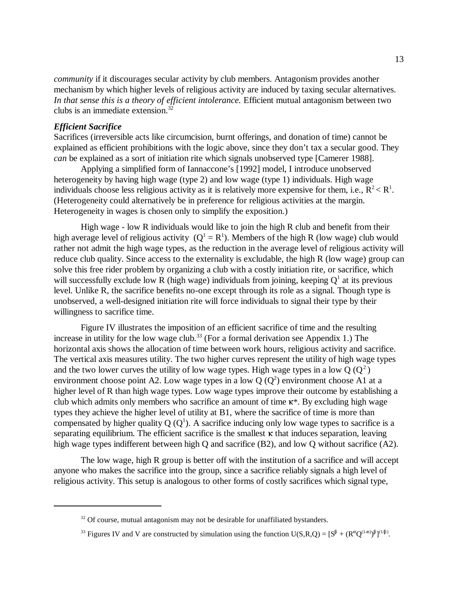*community* if it discourages secular activity by club members. Antagonism provides another mechanism by which higher levels of religious activity are induced by taxing secular alternatives. *In that sense this is a theory of efficient intolerance.* Efficient mutual antagonism between two clubs is an immediate extension.32

#### *Efficient Sacrifice*

Sacrifices (irreversible acts like circumcision, burnt offerings, and donation of time) cannot be explained as efficient prohibitions with the logic above, since they don't tax a secular good. They *can* be explained as a sort of initiation rite which signals unobserved type [Camerer 1988].

Applying a simplified form of Iannaccone's [1992] model, I introduce unobserved heterogeneity by having high wage (type 2) and low wage (type 1) individuals. High wage individuals choose less religious activity as it is relatively more expensive for them, i.e.,  $R^2 < R^1$ . (Heterogeneity could alternatively be in preference for religious activities at the margin. Heterogeneity in wages is chosen only to simplify the exposition.)

High wage - low R individuals would like to join the high R club and benefit from their high average level of religious activity  $(Q^1 = R^1)$ . Members of the high R (low wage) club would rather not admit the high wage types, as the reduction in the average level of religious activity will reduce club quality. Since access to the externality is excludable, the high R (low wage) group can solve this free rider problem by organizing a club with a costly initiation rite, or sacrifice, which will successfully exclude low R (high wage) individuals from joining, keeping  $Q<sup>1</sup>$  at its previous level. Unlike R, the sacrifice benefits no-one except through its role as a signal. Though type is unobserved, a well-designed initiation rite will force individuals to signal their type by their willingness to sacrifice time.

Figure IV illustrates the imposition of an efficient sacrifice of time and the resulting increase in utility for the low wage club.<sup>33</sup> (For a formal derivation see Appendix 1.) The horizontal axis shows the allocation of time between work hours, religious activity and sacrifice. The vertical axis measures utility. The two higher curves represent the utility of high wage types and the two lower curves the utility of low wage types. High wage types in a low  $Q(Q^2)$ environment choose point A2. Low wage types in a low  $Q(Q^2)$  environment choose A1 at a higher level of R than high wage types. Low wage types improve their outcome by establishing a club which admits only members who sacrifice an amount of time  $\kappa^*$ . By excluding high wage types they achieve the higher level of utility at B1, where the sacrifice of time is more than compensated by higher quality Q  $(Q<sup>1</sup>)$ . A sacrifice inducing only low wage types to sacrifice is a separating equilibrium. The efficient sacrifice is the smallest  $\kappa$  that induces separation, leaving high wage types indifferent between high Q and sacrifice (B2), and low Q without sacrifice (A2).

The low wage, high R group is better off with the institution of a sacrifice and will accept anyone who makes the sacrifice into the group, since a sacrifice reliably signals a high level of religious activity. This setup is analogous to other forms of costly sacrifices which signal type,

 $32$  Of course, mutual antagonism may not be desirable for unaffiliated bystanders.

<sup>&</sup>lt;sup>33</sup> Figures IV and V are constructed by simulation using the function  $U(S,R,Q) = [S^{\beta} + (R^{\alpha}Q^{(1-\alpha)})^{\beta}]^{(1/\beta)}$ .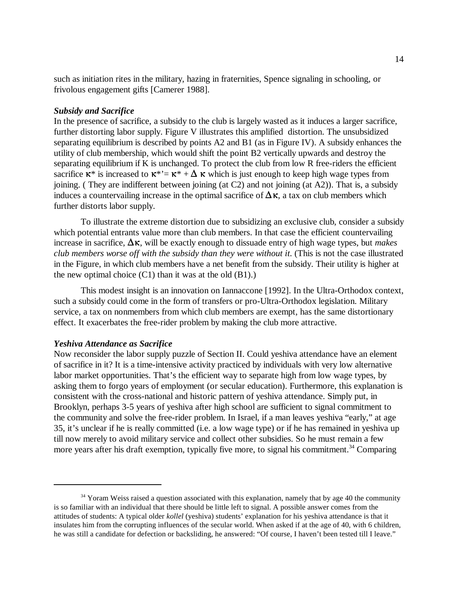such as initiation rites in the military, hazing in fraternities, Spence signaling in schooling, or frivolous engagement gifts [Camerer 1988].

#### *Subsidy and Sacrifice*

In the presence of sacrifice, a subsidy to the club is largely wasted as it induces a larger sacrifice, further distorting labor supply. Figure V illustrates this amplified distortion. The unsubsidized separating equilibrium is described by points A2 and B1 (as in Figure IV). A subsidy enhances the utility of club membership, which would shift the point B2 vertically upwards and destroy the separating equilibrium if K is unchanged. To protect the club from low R free-riders the efficient sacrifice  $\kappa^*$  is increased to  $\kappa^* = \kappa^* + \Delta \kappa$  which is just enough to keep high wage types from joining. ( They are indifferent between joining (at C2) and not joining (at A2)). That is, a subsidy induces a countervailing increase in the optimal sacrifice of  $\Delta \kappa$ , a tax on club members which further distorts labor supply.

To illustrate the extreme distortion due to subsidizing an exclusive club, consider a subsidy which potential entrants value more than club members. In that case the efficient countervailing increase in sacrifice,  $\Delta \kappa$ , will be exactly enough to dissuade entry of high wage types, but *makes club members worse off with the subsidy than they were without it*. (This is not the case illustrated in the Figure, in which club members have a net benefit from the subsidy. Their utility is higher at the new optimal choice  $(C1)$  than it was at the old  $(B1)$ .)

This modest insight is an innovation on Iannaccone [1992]. In the Ultra-Orthodox context, such a subsidy could come in the form of transfers or pro-Ultra-Orthodox legislation. Military service, a tax on nonmembers from which club members are exempt, has the same distortionary effect. It exacerbates the free-rider problem by making the club more attractive.

#### *Yeshiva Attendance as Sacrifice*

Now reconsider the labor supply puzzle of Section II. Could yeshiva attendance have an element of sacrifice in it? It is a time-intensive activity practiced by individuals with very low alternative labor market opportunities. That's the efficient way to separate high from low wage types, by asking them to forgo years of employment (or secular education). Furthermore, this explanation is consistent with the cross-national and historic pattern of yeshiva attendance. Simply put, in Brooklyn, perhaps 3-5 years of yeshiva after high school are sufficient to signal commitment to the community and solve the free-rider problem. In Israel, if a man leaves yeshiva "early," at age 35, it's unclear if he is really committed (i.e. a low wage type) or if he has remained in yeshiva up till now merely to avoid military service and collect other subsidies. So he must remain a few more years after his draft exemption, typically five more, to signal his commitment.<sup>34</sup> Comparing

<sup>&</sup>lt;sup>34</sup> Yoram Weiss raised a question associated with this explanation, namely that by age 40 the community is so familiar with an individual that there should be little left to signal. A possible answer comes from the attitudes of students: A typical older *kollel* (yeshiva) students' explanation for his yeshiva attendance is that it insulates him from the corrupting influences of the secular world. When asked if at the age of 40, with 6 children, he was still a candidate for defection or backsliding, he answered: "Of course, I haven't been tested till I leave."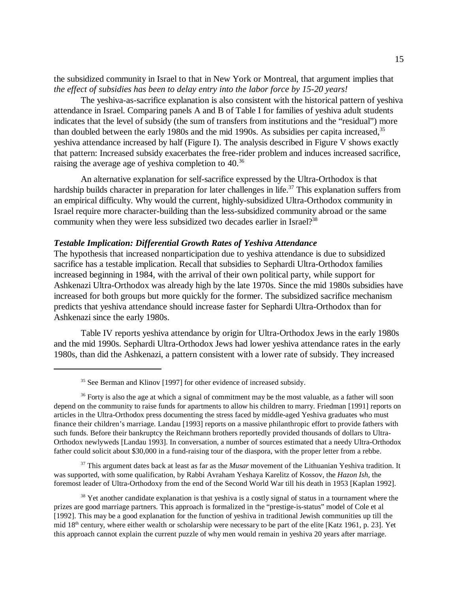the subsidized community in Israel to that in New York or Montreal, that argument implies that *the effect of subsidies has been to delay entry into the labor force by 15-20 years!* 

The yeshiva-as-sacrifice explanation is also consistent with the historical pattern of yeshiva attendance in Israel. Comparing panels A and B of Table I for families of yeshiva adult students indicates that the level of subsidy (the sum of transfers from institutions and the "residual") more than doubled between the early 1980s and the mid 1990s. As subsidies per capita increased,<sup>35</sup> yeshiva attendance increased by half (Figure I). The analysis described in Figure V shows exactly that pattern: Increased subsidy exacerbates the free-rider problem and induces increased sacrifice, raising the average age of yeshiva completion to 40.<sup>36</sup>

An alternative explanation for self-sacrifice expressed by the Ultra-Orthodox is that hardship builds character in preparation for later challenges in life.<sup>37</sup> This explanation suffers from an empirical difficulty. Why would the current, highly-subsidized Ultra-Orthodox community in Israel require more character-building than the less-subsidized community abroad or the same community when they were less subsidized two decades earlier in Israel?<sup>38</sup>

#### *Testable Implication: Differential Growth Rates of Yeshiva Attendance*

The hypothesis that increased nonparticipation due to yeshiva attendance is due to subsidized sacrifice has a testable implication. Recall that subsidies to Sephardi Ultra-Orthodox families increased beginning in 1984, with the arrival of their own political party, while support for Ashkenazi Ultra-Orthodox was already high by the late 1970s. Since the mid 1980s subsidies have increased for both groups but more quickly for the former. The subsidized sacrifice mechanism predicts that yeshiva attendance should increase faster for Sephardi Ultra-Orthodox than for Ashkenazi since the early 1980s.

Table IV reports yeshiva attendance by origin for Ultra-Orthodox Jews in the early 1980s and the mid 1990s. Sephardi Ultra-Orthodox Jews had lower yeshiva attendance rates in the early 1980s, than did the Ashkenazi, a pattern consistent with a lower rate of subsidy. They increased

37 This argument dates back at least as far as the *Musar* movement of the Lithuanian Yeshiva tradition. It was supported, with some qualification, by Rabbi Avraham Yeshaya Karelitz of Kossov, the *Hazon Ish*, the foremost leader of Ultra-Orthodoxy from the end of the Second World War till his death in 1953 [Kaplan 1992].

 $38$  Yet another candidate explanation is that yeshiva is a costly signal of status in a tournament where the prizes are good marriage partners. This approach is formalized in the "prestige-is-status" model of Cole et al [1992]. This may be a good explanation for the function of yeshiva in traditional Jewish communities up till the mid  $18<sup>th</sup>$  century, where either wealth or scholarship were necessary to be part of the elite [Katz 1961, p. 23]. Yet this approach cannot explain the current puzzle of why men would remain in yeshiva 20 years after marriage.

<sup>&</sup>lt;sup>35</sup> See Berman and Klinov [1997] for other evidence of increased subsidy.

<sup>&</sup>lt;sup>36</sup> Forty is also the age at which a signal of commitment may be the most valuable, as a father will soon depend on the community to raise funds for apartments to allow his children to marry. Friedman [1991] reports on articles in the Ultra-Orthodox press documenting the stress faced by middle-aged Yeshiva graduates who must finance their children's marriage. Landau [1993] reports on a massive philanthropic effort to provide fathers with such funds. Before their bankruptcy the Reichmann brothers reportedly provided thousands of dollars to Ultra-Orthodox newlyweds [Landau 1993]. In conversation, a number of sources estimated that a needy Ultra-Orthodox father could solicit about \$30,000 in a fund-raising tour of the diaspora, with the proper letter from a rebbe.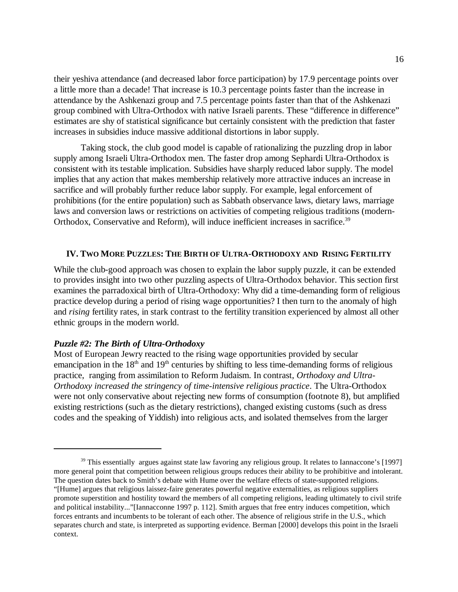their yeshiva attendance (and decreased labor force participation) by 17.9 percentage points over a little more than a decade! That increase is 10.3 percentage points faster than the increase in attendance by the Ashkenazi group and 7.5 percentage points faster than that of the Ashkenazi group combined with Ultra-Orthodox with native Israeli parents. These "difference in difference" estimates are shy of statistical significance but certainly consistent with the prediction that faster increases in subsidies induce massive additional distortions in labor supply.

Taking stock, the club good model is capable of rationalizing the puzzling drop in labor supply among Israeli Ultra-Orthodox men. The faster drop among Sephardi Ultra-Orthodox is consistent with its testable implication. Subsidies have sharply reduced labor supply. The model implies that any action that makes membership relatively more attractive induces an increase in sacrifice and will probably further reduce labor supply. For example, legal enforcement of prohibitions (for the entire population) such as Sabbath observance laws, dietary laws, marriage laws and conversion laws or restrictions on activities of competing religious traditions (modern-Orthodox, Conservative and Reform), will induce inefficient increases in sacrifice.<sup>39</sup>

#### **IV. TWO MORE PUZZLES: THE BIRTH OF ULTRA-ORTHODOXY AND RISING FERTILITY**

While the club-good approach was chosen to explain the labor supply puzzle, it can be extended to provides insight into two other puzzling aspects of Ultra-Orthodox behavior. This section first examines the parradoxical birth of Ultra-Orthodoxy: Why did a time-demanding form of religious practice develop during a period of rising wage opportunities? I then turn to the anomaly of high and *rising* fertility rates, in stark contrast to the fertility transition experienced by almost all other ethnic groups in the modern world.

#### *Puzzle #2: The Birth of Ultra-Orthodoxy*

Most of European Jewry reacted to the rising wage opportunities provided by secular emancipation in the  $18<sup>th</sup>$  and  $19<sup>th</sup>$  centuries by shifting to less time-demanding forms of religious practice, ranging from assimilation to Reform Judaism. In contrast, *Orthodoxy and Ultra-Orthodoxy increased the stringency of time-intensive religious practice*. The Ultra-Orthodox were not only conservative about rejecting new forms of consumption (footnote 8), but amplified existing restrictions (such as the dietary restrictions), changed existing customs (such as dress codes and the speaking of Yiddish) into religious acts, and isolated themselves from the larger

<sup>&</sup>lt;sup>39</sup> This essentially argues against state law favoring any religious group. It relates to Iannaccone's [1997] more general point that competition between religious groups reduces their ability to be prohibitive and intolerant. The question dates back to Smith's debate with Hume over the welfare effects of state-supported religions. "[Hume] argues that religious laissez-faire generates powerful negative externalities, as religious suppliers promote superstition and hostility toward the members of all competing religions, leading ultimately to civil strife and political instability..."[Iannacconne 1997 p. 112]. Smith argues that free entry induces competition, which forces entrants and incumbents to be tolerant of each other. The absence of religious strife in the U.S., which separates church and state, is interpreted as supporting evidence. Berman [2000] develops this point in the Israeli context.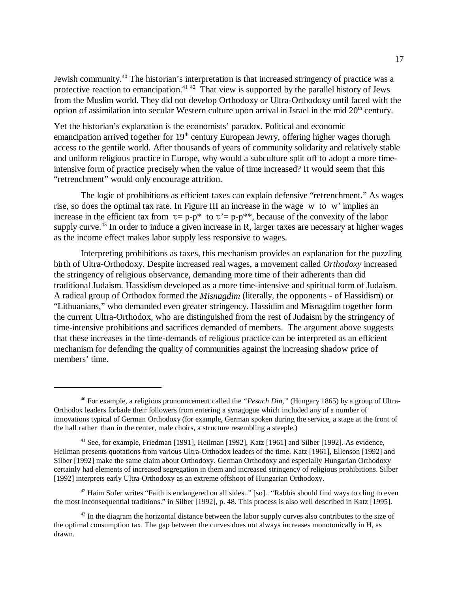Jewish community.40 The historian's interpretation is that increased stringency of practice was a protective reaction to emancipation.<sup>41,42</sup> That view is supported by the parallel history of Jews from the Muslim world. They did not develop Orthodoxy or Ultra-Orthodoxy until faced with the option of assimilation into secular Western culture upon arrival in Israel in the mid  $20<sup>th</sup>$  century.

Yet the historian's explanation is the economists' paradox. Political and economic emancipation arrived together for  $19<sup>th</sup>$  century European Jewry, offering higher wages thorugh access to the gentile world. After thousands of years of community solidarity and relatively stable and uniform religious practice in Europe, why would a subculture split off to adopt a more timeintensive form of practice precisely when the value of time increased? It would seem that this "retrenchment" would only encourage attrition.

The logic of prohibitions as efficient taxes can explain defensive "retrenchment." As wages rise, so does the optimal tax rate. In Figure III an increase in the wage w to w' implies an increase in the efficient tax from  $\tau = p-p^*$  to  $\tau' = p-p^{**}$ , because of the convexity of the labor supply curve.<sup>43</sup> In order to induce a given increase in R, larger taxes are necessary at higher wages as the income effect makes labor supply less responsive to wages.

Interpreting prohibitions as taxes, this mechanism provides an explanation for the puzzling birth of Ultra-Orthodoxy. Despite increased real wages, a movement called *Orthodoxy* increased the stringency of religious observance, demanding more time of their adherents than did traditional Judaism. Hassidism developed as a more time-intensive and spiritual form of Judaism. A radical group of Orthodox formed the *Misnagdim* (literally, the opponents - of Hassidism) or "Lithuanians," who demanded even greater stringency. Hassidim and Misnagdim together form the current Ultra-Orthodox, who are distinguished from the rest of Judaism by the stringency of time-intensive prohibitions and sacrifices demanded of members. The argument above suggests that these increases in the time-demands of religious practice can be interpreted as an efficient mechanism for defending the quality of communities against the increasing shadow price of members' time.

<sup>42</sup> Haim Sofer writes "Faith is endangered on all sides.." [so].. "Rabbis should find ways to cling to even the most inconsequential traditions." in Silber [1992], p. 48. This process is also well described in Katz [1995].

<sup>40</sup> For example, a religious pronouncement called the *"Pesach Din,"* (Hungary 1865) by a group of Ultra-Orthodox leaders forbade their followers from entering a synagogue which included any of a number of innovations typical of German Orthodoxy (for example, German spoken during the service, a stage at the front of the hall rather than in the center, male choirs, a structure resembling a steeple.)

<sup>41</sup> See, for example, Friedman [1991], Heilman [1992], Katz [1961] and Silber [1992]. As evidence, Heilman presents quotations from various Ultra-Orthodox leaders of the time. Katz [1961], Ellenson [1992] and Silber [1992] make the same claim about Orthodoxy. German Orthodoxy and especially Hungarian Orthodoxy certainly had elements of increased segregation in them and increased stringency of religious prohibitions. Silber [1992] interprets early Ultra-Orthodoxy as an extreme offshoot of Hungarian Orthodoxy.

<sup>&</sup>lt;sup>43</sup> In the diagram the horizontal distance between the labor supply curves also contributes to the size of the optimal consumption tax. The gap between the curves does not always increases monotonically in H, as drawn.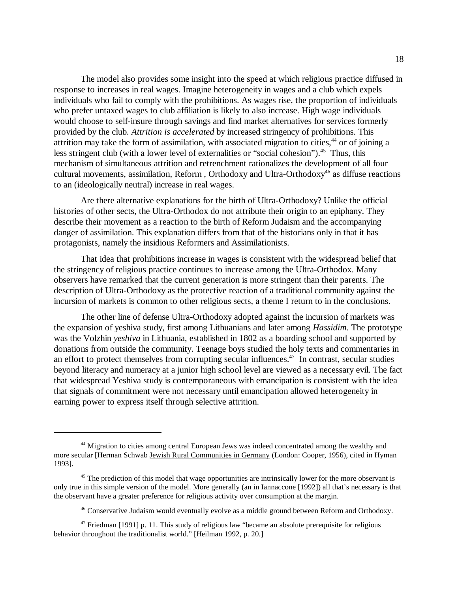The model also provides some insight into the speed at which religious practice diffused in response to increases in real wages. Imagine heterogeneity in wages and a club which expels individuals who fail to comply with the prohibitions. As wages rise, the proportion of individuals who prefer untaxed wages to club affiliation is likely to also increase. High wage individuals would choose to self-insure through savings and find market alternatives for services formerly provided by the club. *Attrition is accelerated* by increased stringency of prohibitions. This attrition may take the form of assimilation, with associated migration to cities,  $44$  or of joining a less stringent club (with a lower level of externalities or "social cohesion"). $45$  Thus, this mechanism of simultaneous attrition and retrenchment rationalizes the development of all four cultural movements, assimilation, Reform, Orthodoxy and Ultra-Orthodoxy<sup>46</sup> as diffuse reactions to an (ideologically neutral) increase in real wages.

Are there alternative explanations for the birth of Ultra-Orthodoxy? Unlike the official histories of other sects, the Ultra-Orthodox do not attribute their origin to an epiphany. They describe their movement as a reaction to the birth of Reform Judaism and the accompanying danger of assimilation. This explanation differs from that of the historians only in that it has protagonists, namely the insidious Reformers and Assimilationists.

That idea that prohibitions increase in wages is consistent with the widespread belief that the stringency of religious practice continues to increase among the Ultra-Orthodox. Many observers have remarked that the current generation is more stringent than their parents. The description of Ultra-Orthodoxy as the protective reaction of a traditional community against the incursion of markets is common to other religious sects, a theme I return to in the conclusions.

The other line of defense Ultra-Orthodoxy adopted against the incursion of markets was the expansion of yeshiva study, first among Lithuanians and later among *Hassidim*. The prototype was the Volzhin *yeshiva* in Lithuania, established in 1802 as a boarding school and supported by donations from outside the community. Teenage boys studied the holy texts and commentaries in an effort to protect themselves from corrupting secular influences.<sup>47</sup> In contrast, secular studies beyond literacy and numeracy at a junior high school level are viewed as a necessary evil. The fact that widespread Yeshiva study is contemporaneous with emancipation is consistent with the idea that signals of commitment were not necessary until emancipation allowed heterogeneity in earning power to express itself through selective attrition.

<sup>44</sup> Migration to cities among central European Jews was indeed concentrated among the wealthy and more secular [Herman Schwab Jewish Rural Communities in Germany (London: Cooper, 1956), cited in Hyman 1993].

 $45$  The prediction of this model that wage opportunities are intrinsically lower for the more observant is only true in this simple version of the model. More generally (an in Iannaccone [1992]) all that's necessary is that the observant have a greater preference for religious activity over consumption at the margin.

<sup>&</sup>lt;sup>46</sup> Conservative Judaism would eventually evolve as a middle ground between Reform and Orthodoxy.

 $47$  Friedman [1991] p. 11. This study of religious law "became an absolute prerequisite for religious behavior throughout the traditionalist world." [Heilman 1992, p. 20.]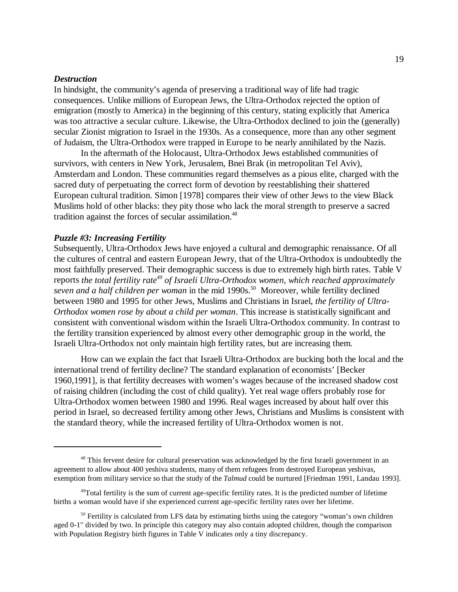#### *Destruction*

In hindsight, the community's agenda of preserving a traditional way of life had tragic consequences. Unlike millions of European Jews, the Ultra-Orthodox rejected the option of emigration (mostly to America) in the beginning of this century, stating explicitly that America was too attractive a secular culture. Likewise, the Ultra-Orthodox declined to join the (generally) secular Zionist migration to Israel in the 1930s. As a consequence, more than any other segment of Judaism, the Ultra-Orthodox were trapped in Europe to be nearly annihilated by the Nazis.

In the aftermath of the Holocaust, Ultra-Orthodox Jews established communities of survivors, with centers in New York, Jerusalem, Bnei Brak (in metropolitan Tel Aviv), Amsterdam and London. These communities regard themselves as a pious elite, charged with the sacred duty of perpetuating the correct form of devotion by reestablishing their shattered European cultural tradition. Simon [1978] compares their view of other Jews to the view Black Muslims hold of other blacks: they pity those who lack the moral strength to preserve a sacred tradition against the forces of secular assimilation.<sup>48</sup>

#### *Puzzle #3: Increasing Fertility*

Subsequently, Ultra-Orthodox Jews have enjoyed a cultural and demographic renaissance. Of all the cultures of central and eastern European Jewry, that of the Ultra-Orthodox is undoubtedly the most faithfully preserved. Their demographic success is due to extremely high birth rates. Table V reports *the total fertility rate49 of Israeli Ultra-Orthodox women, which reached approximately seven and a half children per woman* in the mid 1990s.50 Moreover, while fertility declined between 1980 and 1995 for other Jews, Muslims and Christians in Israel, *the fertility of Ultra-Orthodox women rose by about a child per woman*. This increase is statistically significant and consistent with conventional wisdom within the Israeli Ultra-Orthodox community. In contrast to the fertility transition experienced by almost every other demographic group in the world, the Israeli Ultra-Orthodox not only maintain high fertility rates, but are increasing them.

How can we explain the fact that Israeli Ultra-Orthodox are bucking both the local and the international trend of fertility decline? The standard explanation of economists' [Becker 1960,1991], is that fertility decreases with women's wages because of the increased shadow cost of raising children (including the cost of child quality). Yet real wage offers probably rose for Ultra-Orthodox women between 1980 and 1996. Real wages increased by about half over this period in Israel, so decreased fertility among other Jews, Christians and Muslims is consistent with the standard theory, while the increased fertility of Ultra-Orthodox women is not.

<sup>&</sup>lt;sup>48</sup> This fervent desire for cultural preservation was acknowledged by the first Israeli government in an agreement to allow about 400 yeshiva students, many of them refugees from destroyed European yeshivas, exemption from military service so that the study of the *Talmud* could be nurtured [Friedman 1991, Landau 1993].

 $49T$ otal fertility is the sum of current age-specific fertility rates. It is the predicted number of lifetime births a woman would have if she experienced current age-specific fertility rates over her lifetime.

 $50$  Fertility is calculated from LFS data by estimating births using the category "woman's own children aged 0-1" divided by two. In principle this category may also contain adopted children, though the comparison with Population Registry birth figures in Table V indicates only a tiny discrepancy.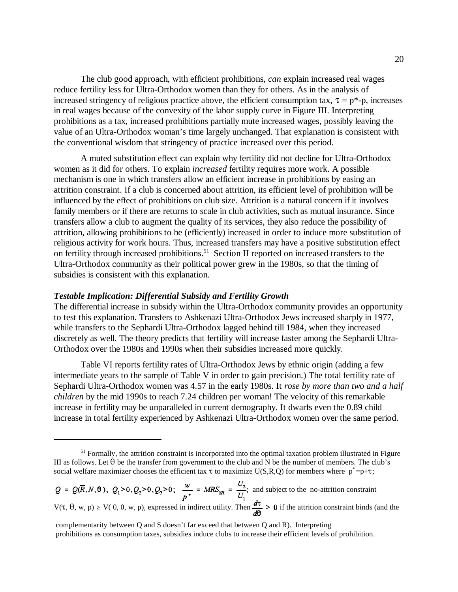The club good approach, with efficient prohibitions, *can* explain increased real wages reduce fertility less for Ultra-Orthodox women than they for others. As in the analysis of increased stringency of religious practice above, the efficient consumption tax,  $\tau = p^*$ -p, increases in real wages because of the convexity of the labor supply curve in Figure III. Interpreting prohibitions as a tax, increased prohibitions partially mute increased wages, possibly leaving the value of an Ultra-Orthodox woman's time largely unchanged. That explanation is consistent with the conventional wisdom that stringency of practice increased over this period.

A muted substitution effect can explain why fertility did not decline for Ultra-Orthodox women as it did for others. To explain *increased* fertility requires more work. A possible mechanism is one in which transfers allow an efficient increase in prohibitions by easing an attrition constraint. If a club is concerned about attrition, its efficient level of prohibition will be influenced by the effect of prohibitions on club size. Attrition is a natural concern if it involves family members or if there are returns to scale in club activities, such as mutual insurance. Since transfers allow a club to augment the quality of its services, they also reduce the possibility of attrition, allowing prohibitions to be (efficiently) increased in order to induce more substitution of religious activity for work hours. Thus, increased transfers may have a positive substitution effect on fertility through increased prohibitions.<sup>51</sup> Section II reported on increased transfers to the Ultra-Orthodox community as their political power grew in the 1980s, so that the timing of subsidies is consistent with this explanation.

#### *Testable Implication: Differential Subsidy and Fertility Growth*

The differential increase in subsidy within the Ultra-Orthodox community provides an opportunity to test this explanation. Transfers to Ashkenazi Ultra-Orthodox Jews increased sharply in 1977, while transfers to the Sephardi Ultra-Orthodox lagged behind till 1984, when they increased discretely as well. The theory predicts that fertility will increase faster among the Sephardi Ultra-Orthodox over the 1980s and 1990s when their subsidies increased more quickly.

Table VI reports fertility rates of Ultra-Orthodox Jews by ethnic origin (adding a few intermediate years to the sample of Table V in order to gain precision.) The total fertility rate of Sephardi Ultra-Orthodox women was 4.57 in the early 1980s. It *rose by more than two and a half children* by the mid 1990s to reach 7.24 children per woman! The velocity of this remarkable increase in fertility may be unparalleled in current demography. It dwarfs even the 0.89 child increase in total fertility experienced by Ashkenazi Ultra-Orthodox women over the same period.

 and subject to the no-attrition constraint  $V(\tau, \theta, w, p) \ge V([0, 0, w, p))$ , expressed in indirect utility. Then  $\frac{d\tau}{d\tau} > 0$  if the attrition constraint binds (and the

<sup>&</sup>lt;sup>51</sup> Formally, the attrition constraint is incorporated into the optimal taxation problem illustrated in Figure III as follows. Let  $\theta$  be the transfer from government to the club and N be the number of members. The club's social welfare maximizer chooses the efficient tax  $\tau$  to maximize U(S,R,Q) for members where  $p^* = p+\tau$ ;

complementarity between Q and S doesn't far exceed that between Q and R). Interpreting prohibitions as consumption taxes, subsidies induce clubs to increase their efficient levels of prohibition.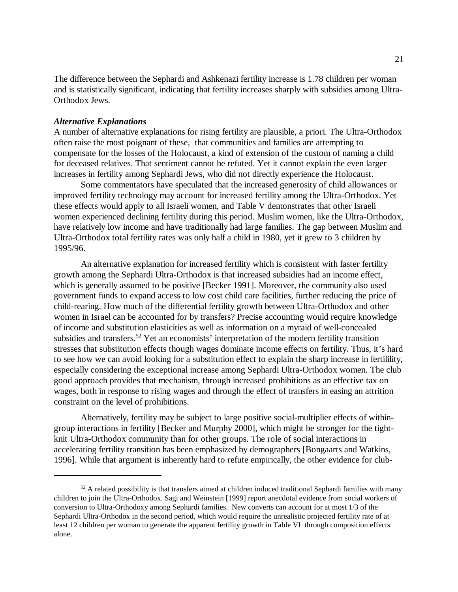The difference between the Sephardi and Ashkenazi fertility increase is 1.78 children per woman and is statistically significant, indicating that fertility increases sharply with subsidies among Ultra-Orthodox Jews.

#### *Alternative Explanations*

A number of alternative explanations for rising fertility are plausible, a priori. The Ultra-Orthodox often raise the most poignant of these, that communities and families are attempting to compensate for the losses of the Holocaust, a kind of extension of the custom of naming a child for deceased relatives. That sentiment cannot be refuted. Yet it cannot explain the even larger increases in fertility among Sephardi Jews, who did not directly experience the Holocaust.

Some commentators have speculated that the increased generosity of child allowances or improved fertility technology may account for increased fertility among the Ultra-Orthodox. Yet these effects would apply to all Israeli women, and Table V demonstrates that other Israeli women experienced declining fertility during this period. Muslim women, like the Ultra-Orthodox, have relatively low income and have traditionally had large families. The gap between Muslim and Ultra-Orthodox total fertility rates was only half a child in 1980, yet it grew to 3 children by 1995/96.

An alternative explanation for increased fertility which is consistent with faster fertility growth among the Sephardi Ultra-Orthodox is that increased subsidies had an income effect, which is generally assumed to be positive [Becker 1991]. Moreover, the community also used government funds to expand access to low cost child care facilities, further reducing the price of child-rearing. How much of the differential fertility growth between Ultra-Orthodox and other women in Israel can be accounted for by transfers? Precise accounting would require knowledge of income and substitution elasticities as well as information on a myraid of well-concealed subsidies and transfers.<sup>52</sup> Yet an economists' interpretation of the modern fertility transition stresses that substitution effects though wages dominate income effects on fertility. Thus, it's hard to see how we can avoid looking for a substitution effect to explain the sharp increase in fertilility, especially considering the exceptional increase among Sephardi Ultra-Orthodox women. The club good approach provides that mechanism, through increased prohibitions as an effective tax on wages, both in response to rising wages and through the effect of transfers in easing an attrition constraint on the level of prohibitions.

Alternatively, fertility may be subject to large positive social-multiplier effects of withingroup interactions in fertility [Becker and Murphy 2000], which might be stronger for the tightknit Ultra-Orthodox community than for other groups. The role of social interactions in accelerating fertility transition has been emphasized by demographers [Bongaarts and Watkins, 1996]. While that argument is inherently hard to refute empirically, the other evidence for club-

 $52$  A related possibility is that transfers aimed at children induced traditional Sephardi families with many children to join the Ultra-Orthodox. Sagi and Weinstein [1999] report anecdotal evidence from social workers of conversion to Ultra-Orthodoxy among Sephardi families. New converts can account for at most 1/3 of the Sephardi Ultra-Orthodox in the second period, which would require the unrealistic projected fertility rate of at least 12 children per woman to generate the apparent fertility growth in Table VI through composition effects alone.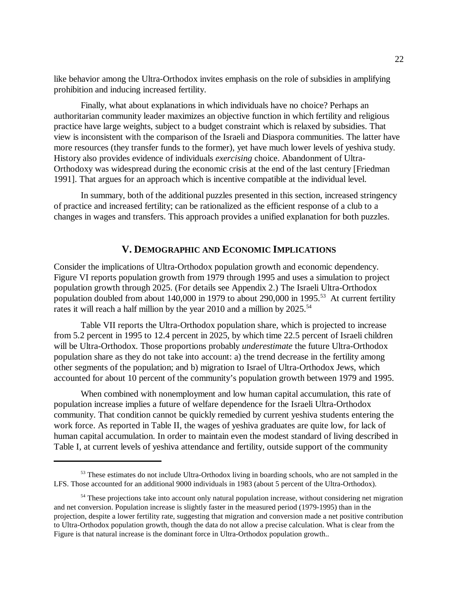like behavior among the Ultra-Orthodox invites emphasis on the role of subsidies in amplifying prohibition and inducing increased fertility.

Finally, what about explanations in which individuals have no choice? Perhaps an authoritarian community leader maximizes an objective function in which fertility and religious practice have large weights, subject to a budget constraint which is relaxed by subsidies. That view is inconsistent with the comparison of the Israeli and Diaspora communities. The latter have more resources (they transfer funds to the former), yet have much lower levels of yeshiva study. History also provides evidence of individuals *exercising* choice. Abandonment of Ultra-Orthodoxy was widespread during the economic crisis at the end of the last century [Friedman 1991]. That argues for an approach which is incentive compatible at the individual level.

In summary, both of the additional puzzles presented in this section, increased stringency of practice and increased fertility; can be rationalized as the efficient response of a club to a changes in wages and transfers. This approach provides a unified explanation for both puzzles.

#### **V. DEMOGRAPHIC AND ECONOMIC IMPLICATIONS**

Consider the implications of Ultra-Orthodox population growth and economic dependency. Figure VI reports population growth from 1979 through 1995 and uses a simulation to project population growth through 2025. (For details see Appendix 2.) The Israeli Ultra-Orthodox population doubled from about 140,000 in 1979 to about 290,000 in 1995.<sup>53</sup> At current fertility rates it will reach a half million by the year 2010 and a million by  $2025$ .<sup>54</sup>

Table VII reports the Ultra-Orthodox population share, which is projected to increase from 5.2 percent in 1995 to 12.4 percent in 2025, by which time 22.5 percent of Israeli children will be Ultra-Orthodox. Those proportions probably *underestimate* the future Ultra-Orthodox population share as they do not take into account: a) the trend decrease in the fertility among other segments of the population; and b) migration to Israel of Ultra-Orthodox Jews, which accounted for about 10 percent of the community's population growth between 1979 and 1995.

When combined with nonemployment and low human capital accumulation, this rate of population increase implies a future of welfare dependence for the Israeli Ultra-Orthodox community. That condition cannot be quickly remedied by current yeshiva students entering the work force. As reported in Table II, the wages of yeshiva graduates are quite low, for lack of human capital accumulation. In order to maintain even the modest standard of living described in Table I, at current levels of yeshiva attendance and fertility, outside support of the community

<sup>&</sup>lt;sup>53</sup> These estimates do not include Ultra-Orthodox living in boarding schools, who are not sampled in the LFS. Those accounted for an additional 9000 individuals in 1983 (about 5 percent of the Ultra-Orthodox).

<sup>&</sup>lt;sup>54</sup> These projections take into account only natural population increase, without considering net migration and net conversion. Population increase is slightly faster in the measured period (1979-1995) than in the projection, despite a lower fertility rate, suggesting that migration and conversion made a net positive contribution to Ultra-Orthodox population growth, though the data do not allow a precise calculation. What is clear from the Figure is that natural increase is the dominant force in Ultra-Orthodox population growth..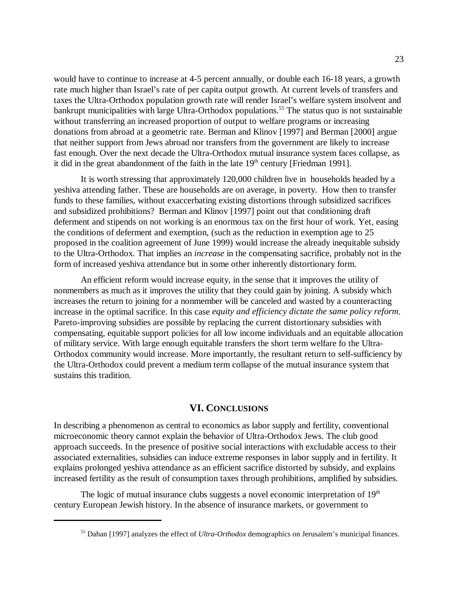would have to continue to increase at 4-5 percent annually, or double each 16-18 years, a growth rate much higher than Israel's rate of per capita output growth. At current levels of transfers and taxes the Ultra-Orthodox population growth rate will render Israel's welfare system insolvent and bankrupt municipalities with large Ultra-Orthodox populations.<sup>55</sup> The status quo is not sustainable without transferring an increased proportion of output to welfare programs or increasing donations from abroad at a geometric rate. Berman and Klinov [1997] and Berman [2000] argue that neither support from Jews abroad nor transfers from the government are likely to increase fast enough. Over the next decade the Ultra-Orthodox mutual insurance system faces collapse, as it did in the great abandonment of the faith in the late  $19<sup>th</sup>$  century [Friedman 1991].

It is worth stressing that approximately 120,000 children live in households headed by a yeshiva attending father. These are households are on average, in poverty. How then to transfer funds to these families, without exaccerbating existing distortions through subsidized sacrifices and subsidized prohibitions? Berman and Klinov [1997] point out that conditioning draft deferment and stipends on not working is an enormous tax on the first hour of work. Yet, easing the conditions of deferment and exemption, (such as the reduction in exemption age to 25 proposed in the coalition agreement of June 1999) would increase the already inequitable subsidy to the Ultra-Orthodox. That implies an *increase* in the compensating sacrifice, probably not in the form of increased yeshiva attendance but in some other inherently distortionary form.

An efficient reform would increase equity, in the sense that it improves the utility of nonmembers as much as it improves the utility that they could gain by joining. A subsidy which increases the return to joining for a nonmember will be canceled and wasted by a counteracting increase in the optimal sacrifice. In this case *equity and efficiency dictate the same policy reform*. Pareto-improving subsidies are possible by replacing the current distortionary subsidies with compensating, equitable support policies for all low income individuals and an equitable allocation of military service. With large enough equitable transfers the short term welfare fo the Ultra-Orthodox community would increase. More importantly, the resultant return to self-sufficiency by the Ultra-Orthodox could prevent a medium term collapse of the mutual insurance system that sustains this tradition.

#### **VI. CONCLUSIONS**

In describing a phenomenon as central to economics as labor supply and fertility, conventional microeconomic theory cannot explain the behavior of Ultra-Orthodox Jews. The club good approach succeeds. In the presence of positive social interactions with excludable access to their associated externalities, subsidies can induce extreme responses in labor supply and in fertility. It explains prolonged yeshiva attendance as an efficient sacrifice distorted by subsidy, and explains increased fertility as the result of consumption taxes through prohibitions, amplified by subsidies.

The logic of mutual insurance clubs suggests a novel economic interpretation of  $19<sup>th</sup>$ century European Jewish history. In the absence of insurance markets, or government to

<sup>55</sup> Dahan [1997] analyzes the effect of *Ultra-Orthodox* demographics on Jerusalem's municipal finances.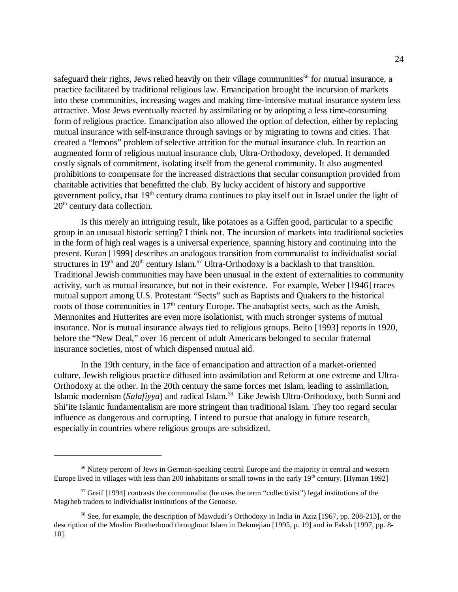safeguard their rights, Jews relied heavily on their village communities<sup>56</sup> for mutual insurance, a practice facilitated by traditional religious law. Emancipation brought the incursion of markets into these communities, increasing wages and making time-intensive mutual insurance system less attractive. Most Jews eventually reacted by assimilating or by adopting a less time-consuming form of religious practice. Emancipation also allowed the option of defection, either by replacing mutual insurance with self-insurance through savings or by migrating to towns and cities. That created a "lemons" problem of selective attrition for the mutual insurance club. In reaction an augmented form of religious mutual insurance club, Ultra-Orthodoxy, developed. It demanded costly signals of commitment, isolating itself from the general community. It also augmented prohibitions to compensate for the increased distractions that secular consumption provided from charitable activities that benefitted the club. By lucky accident of history and supportive government policy, that 19<sup>th</sup> century drama continues to play itself out in Israel under the light of  $20<sup>th</sup>$  century data collection.

Is this merely an intriguing result, like potatoes as a Giffen good, particular to a specific group in an unusual historic setting? I think not. The incursion of markets into traditional societies in the form of high real wages is a universal experience, spanning history and continuing into the present. Kuran [1999] describes an analogous transition from communalist to individualist social structures in  $19<sup>th</sup>$  and  $20<sup>th</sup>$  century Islam.<sup>57</sup> Ultra-Orthodoxy is a backlash to that transition. Traditional Jewish communities may have been unusual in the extent of externalities to community activity, such as mutual insurance, but not in their existence. For example, Weber [1946] traces mutual support among U.S. Protestant "Sects" such as Baptists and Quakers to the historical roots of those communities in  $17<sup>th</sup>$  century Europe. The anabaptist sects, such as the Amish, Mennonites and Hutterites are even more isolationist, with much stronger systems of mutual insurance. Nor is mutual insurance always tied to religious groups. Beito [1993] reports in 1920, before the "New Deal," over 16 percent of adult Americans belonged to secular fraternal insurance societies, most of which dispensed mutual aid.

In the 19th century, in the face of emancipation and attraction of a market-oriented culture, Jewish religious practice diffused into assimilation and Reform at one extreme and Ultra-Orthodoxy at the other. In the 20th century the same forces met Islam, leading to assimilation, Islamic modernism (*Salafiyya*) and radical Islam.58 Like Jewish Ultra-Orthodoxy, both Sunni and Shi'ite Islamic fundamentalism are more stringent than traditional Islam. They too regard secular influence as dangerous and corrupting. I intend to pursue that analogy in future research, especially in countries where religious groups are subsidized.

<sup>&</sup>lt;sup>56</sup> Ninety percent of Jews in German-speaking central Europe and the majority in central and western Europe lived in villages with less than 200 inhabitants or small towns in the early 19<sup>th</sup> century. [Hyman 1992]

 $57$  Greif [1994] contrasts the communalist (he uses the term "collectivist") legal institutions of the Magrheb traders to individualist institutions of the Genoese.

<sup>&</sup>lt;sup>58</sup> See, for example, the description of Mawdudi's Orthodoxy in India in Aziz [1967, pp. 208-213], or the description of the Muslim Brotherhood throughout Islam in Dekmejian [1995, p. 19] and in Faksh [1997, pp. 8- 10].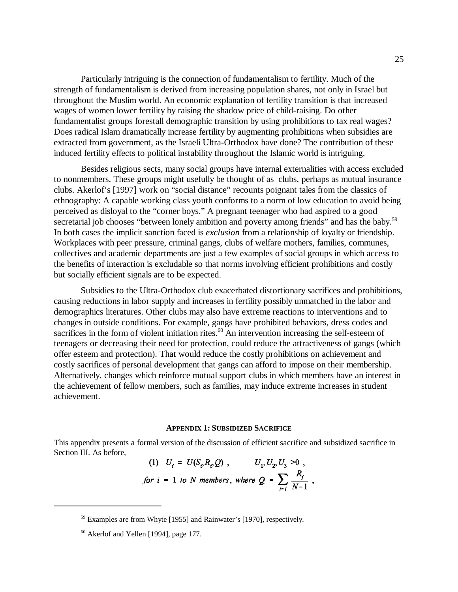Particularly intriguing is the connection of fundamentalism to fertility. Much of the strength of fundamentalism is derived from increasing population shares, not only in Israel but throughout the Muslim world. An economic explanation of fertility transition is that increased wages of women lower fertility by raising the shadow price of child-raising. Do other fundamentalist groups forestall demographic transition by using prohibitions to tax real wages? Does radical Islam dramatically increase fertility by augmenting prohibitions when subsidies are extracted from government, as the Israeli Ultra-Orthodox have done? The contribution of these induced fertility effects to political instability throughout the Islamic world is intriguing.

Besides religious sects, many social groups have internal externalities with access excluded to nonmembers. These groups might usefully be thought of as clubs, perhaps as mutual insurance clubs. Akerlof's [1997] work on "social distance" recounts poignant tales from the classics of ethnography: A capable working class youth conforms to a norm of low education to avoid being perceived as disloyal to the "corner boys." A pregnant teenager who had aspired to a good secretarial job chooses "between lonely ambition and poverty among friends" and has the baby.<sup>59</sup> In both cases the implicit sanction faced is *exclusion* from a relationship of loyalty or friendship. Workplaces with peer pressure, criminal gangs, clubs of welfare mothers, families, communes, collectives and academic departments are just a few examples of social groups in which access to the benefits of interaction is excludable so that norms involving efficient prohibitions and costly but socially efficient signals are to be expected.

Subsidies to the Ultra-Orthodox club exacerbated distortionary sacrifices and prohibitions, causing reductions in labor supply and increases in fertility possibly unmatched in the labor and demographics literatures. Other clubs may also have extreme reactions to interventions and to changes in outside conditions. For example, gangs have prohibited behaviors, dress codes and sacrifices in the form of violent initiation rites.<sup>60</sup> An intervention increasing the self-esteem of teenagers or decreasing their need for protection, could reduce the attractiveness of gangs (which offer esteem and protection). That would reduce the costly prohibitions on achievement and costly sacrifices of personal development that gangs can afford to impose on their membership. Alternatively, changes which reinforce mutual support clubs in which members have an interest in the achievement of fellow members, such as families, may induce extreme increases in student achievement.

#### **APPENDIX 1: SUBSIDIZED SACRIFICE**

This appendix presents a formal version of the discussion of efficient sacrifice and subsidized sacrifice in Section III. As before,

(1) 
$$
U_i = U(S_i, R_i, Q)
$$
,  $U_1, U_2, U_3 > 0$ ,  
for  $i = 1$  to *N* members, where  $Q = \sum_{j \neq i} \frac{R_j}{N-1}$ ,

<sup>59</sup> Examples are from Whyte [1955] and Rainwater's [1970], respectively.

<sup>60</sup> Akerlof and Yellen [1994], page 177.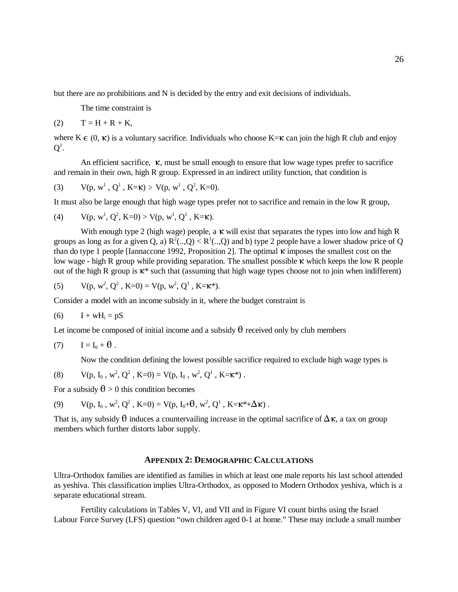but there are no prohibitions and N is decided by the entry and exit decisions of individuals.

The time constraint is

$$
(2) \qquad T = H + R + K,
$$

where  $K \in (0, \kappa)$  is a voluntary sacrifice. Individuals who choose  $K=\kappa$  can join the high R club and enjoy  $\mathbf{Q}^1.$ 

An efficient sacrifice,  $\kappa$ , must be small enough to ensure that low wage types prefer to sacrifice and remain in their own, high R group. Expressed in an indirect utility function, that condition is

(3) 
$$
V(p, w^1, Q^1, K=k) \ge V(p, w^1, Q^2, K=0).
$$

It must also be large enough that high wage types prefer not to sacrifice and remain in the low R group,

(4) 
$$
V(p, w^1, Q^2, K=0) > V(p, w^1, Q^1, K=k).
$$

With enough type 2 (high wage) people, a  $\kappa$  will exist that separates the types into low and high R groups as long as for a given Q, a)  $R^2(.,Q) < R^1(.,Q)$  and b) type 2 people have a lower shadow price of Q than do type 1 people [Iannaccone 1992, Proposition 2]. The optimal  $\kappa$  imposes the smallest cost on the low wage - high R group while providing separation. The smallest possible  $\kappa$  which keeps the low R people out of the high R group is  $\kappa^*$  such that (assuming that high wage types choose not to join when indifferent)

(5) 
$$
V(p, w^2, Q^2, K=0) = V(p, w^2, Q^1, K=k^*)
$$
.

Consider a model with an income subsidy in it, where the budget constraint is

$$
(6) \qquad I + wH_i = pS
$$

Let income be composed of initial income and a subsidy  $\theta$  received only by club members

$$
(7) \qquad I = I_0 + \theta .
$$

Now the condition defining the lowest possible sacrifice required to exclude high wage types is

(8) 
$$
V(p, I_0, w^2, Q^2, K=0) = V(p, I_0, w^2, Q^1, K=k^*)
$$
.

For a subsidy  $\theta > 0$  this condition becomes

(9) 
$$
V(p, I_0, w^2, Q^2, K=0) = V(p, I_0 + \theta, w^2, Q^1, K = \kappa^* + \Delta \kappa)
$$
.

That is, any subsidy  $\theta$  induces a countervailing increase in the optimal sacrifice of  $\Delta \kappa$ , a tax on group members which further distorts labor supply.

#### **APPENDIX 2: DEMOGRAPHIC CALCULATIONS**

Ultra-Orthodox families are identified as families in which at least one male reports his last school attended as yeshiva. This classification implies Ultra-Orthodox, as opposed to Modern Orthodox yeshiva, which is a separate educational stream.

Fertility calculations in Tables V, VI, and VII and in Figure VI count births using the Israel Labour Force Survey (LFS) question "own children aged 0-1 at home." These may include a small number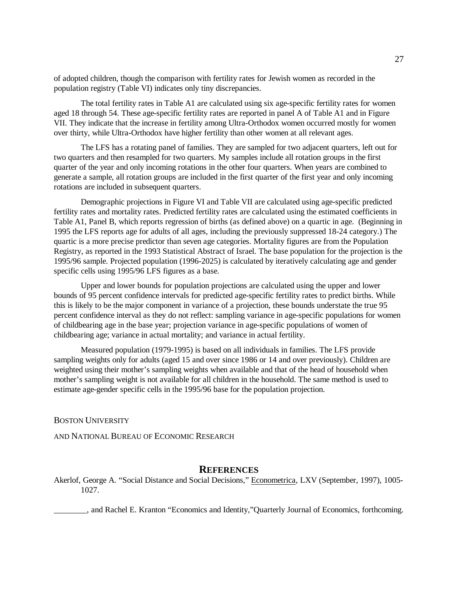of adopted children, though the comparison with fertility rates for Jewish women as recorded in the population registry (Table VI) indicates only tiny discrepancies.

The total fertility rates in Table A1 are calculated using six age-specific fertility rates for women aged 18 through 54. These age-specific fertility rates are reported in panel A of Table A1 and in Figure VII. They indicate that the increase in fertility among Ultra-Orthodox women occurred mostly for women over thirty, while Ultra-Orthodox have higher fertility than other women at all relevant ages.

The LFS has a rotating panel of families. They are sampled for two adjacent quarters, left out for two quarters and then resampled for two quarters. My samples include all rotation groups in the first quarter of the year and only incoming rotations in the other four quarters. When years are combined to generate a sample, all rotation groups are included in the first quarter of the first year and only incoming rotations are included in subsequent quarters.

Demographic projections in Figure VI and Table VII are calculated using age-specific predicted fertility rates and mortality rates. Predicted fertility rates are calculated using the estimated coefficients in Table A1, Panel B, which reports regression of births (as defined above) on a quartic in age. (Beginning in 1995 the LFS reports age for adults of all ages, including the previously suppressed 18-24 category.) The quartic is a more precise predictor than seven age categories. Mortality figures are from the Population Registry, as reported in the 1993 Statistical Abstract of Israel. The base population for the projection is the 1995/96 sample. Projected population (1996-2025) is calculated by iteratively calculating age and gender specific cells using 1995/96 LFS figures as a base.

Upper and lower bounds for population projections are calculated using the upper and lower bounds of 95 percent confidence intervals for predicted age-specific fertility rates to predict births. While this is likely to be the major component in variance of a projection, these bounds understate the true 95 percent confidence interval as they do not reflect: sampling variance in age-specific populations for women of childbearing age in the base year; projection variance in age-specific populations of women of childbearing age; variance in actual mortality; and variance in actual fertility.

Measured population (1979-1995) is based on all individuals in families. The LFS provide sampling weights only for adults (aged 15 and over since 1986 or 14 and over previously). Children are weighted using their mother's sampling weights when available and that of the head of household when mother's sampling weight is not available for all children in the household. The same method is used to estimate age-gender specific cells in the 1995/96 base for the population projection.

#### BOSTON UNIVERSITY

AND NATIONAL BUREAU OF ECONOMIC RESEARCH

#### **REFERENCES**

Akerlof, George A. "Social Distance and Social Decisions," Econometrica, LXV (September, 1997), 1005- 1027.

\_\_\_\_\_\_\_\_, and Rachel E. Kranton "Economics and Identity,"Quarterly Journal of Economics, forthcoming.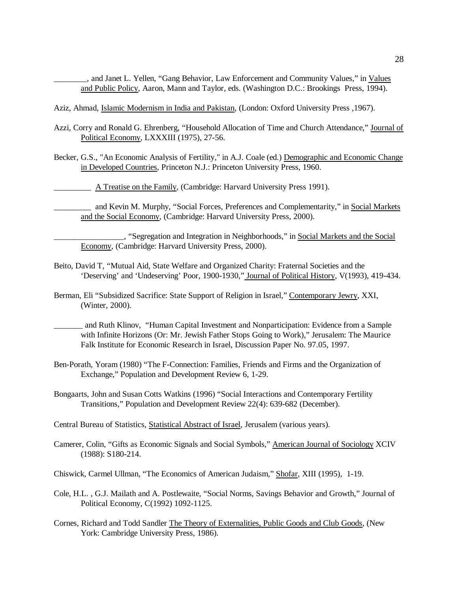\_\_\_\_\_\_\_\_, and Janet L. Yellen, "Gang Behavior, Law Enforcement and Community Values," in Values and Public Policy, Aaron, Mann and Taylor, eds. (Washington D.C.: Brookings Press, 1994).

- Aziz, Ahmad, Islamic Modernism in India and Pakistan, (London: Oxford University Press ,1967).
- Azzi, Corry and Ronald G. Ehrenberg, "Household Allocation of Time and Church Attendance," Journal of Political Economy, LXXXIII (1975), 27-56.
- Becker, G.S., "An Economic Analysis of Fertility," in A.J. Coale (ed.) Demographic and Economic Change in Developed Countries, Princeton N.J.: Princeton University Press, 1960.

A Treatise on the Family, (Cambridge: Harvard University Press 1991).

\_\_\_\_\_\_\_\_\_ and Kevin M. Murphy, "Social Forces, Preferences and Complementarity," in Social Markets and the Social Economy, (Cambridge: Harvard University Press, 2000).

\_\_\_\_\_\_\_\_\_\_\_\_\_\_\_\_\_, "Segregation and Integration in Neighborhoods," in Social Markets and the Social Economy, (Cambridge: Harvard University Press, 2000).

- Beito, David T, "Mutual Aid, State Welfare and Organized Charity: Fraternal Societies and the 'Deserving' and 'Undeserving' Poor, 1900-1930," Journal of Political History, V(1993), 419-434.
- Berman, Eli "Subsidized Sacrifice: State Support of Religion in Israel," Contemporary Jewry, XXI, (Winter, 2000).

\_\_\_\_\_\_\_ and Ruth Klinov, "Human Capital Investment and Nonparticipation: Evidence from a Sample with Infinite Horizons (Or: Mr. Jewish Father Stops Going to Work)," Jerusalem: The Maurice Falk Institute for Economic Research in Israel, Discussion Paper No. 97.05, 1997.

- Ben-Porath, Yoram (1980) "The F-Connection: Families, Friends and Firms and the Organization of Exchange," Population and Development Review 6, 1-29.
- Bongaarts, John and Susan Cotts Watkins (1996) "Social Interactions and Contemporary Fertility Transitions," Population and Development Review 22(4): 639-682 (December).

Central Bureau of Statistics, Statistical Abstract of Israel, Jerusalem (various years).

- Camerer, Colin, "Gifts as Economic Signals and Social Symbols," American Journal of Sociology XCIV (1988): S180-214.
- Chiswick, Carmel Ullman, "The Economics of American Judaism," Shofar, XIII (1995), 1-19.
- Cole, H.L. , G.J. Mailath and A. Postlewaite, "Social Norms, Savings Behavior and Growth," Journal of Political Economy, C(1992) 1092-1125.
- Cornes, Richard and Todd Sandler The Theory of Externalities, Public Goods and Club Goods, (New York: Cambridge University Press, 1986).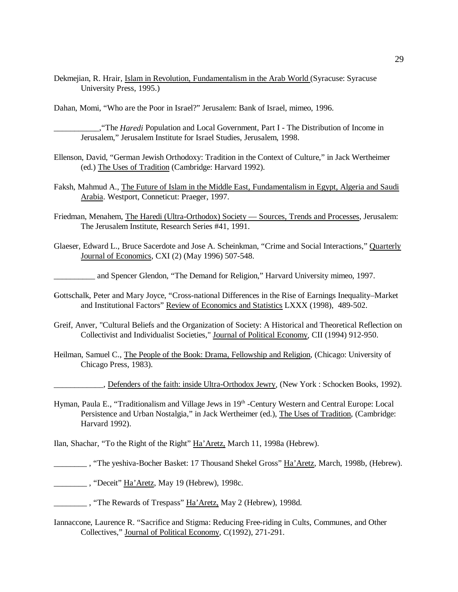Dekmejian, R. Hrair, Islam in Revolution, Fundamentalism in the Arab World (Syracuse: Syracuse University Press, 1995.)

Dahan, Momi, "Who are the Poor in Israel?" Jerusalem: Bank of Israel, mimeo, 1996.

\_\_\_\_\_\_\_\_\_\_\_,"The *Haredi* Population and Local Government, Part I - The Distribution of Income in Jerusalem," Jerusalem Institute for Israel Studies, Jerusalem, 1998.

- Ellenson, David, "German Jewish Orthodoxy: Tradition in the Context of Culture," in Jack Wertheimer (ed.) The Uses of Tradition (Cambridge: Harvard 1992).
- Faksh, Mahmud A., The Future of Islam in the Middle East, Fundamentalism in Egypt, Algeria and Saudi Arabia. Westport, Conneticut: Praeger, 1997.
- Friedman, Menahem, The Haredi (Ultra-Orthodox) Society Sources, Trends and Processes, Jerusalem: The Jerusalem Institute, Research Series #41, 1991.
- Glaeser, Edward L., Bruce Sacerdote and Jose A. Scheinkman, "Crime and Social Interactions," Quarterly Journal of Economics, CXI (2) (May 1996) 507-548.

\_\_\_\_\_\_\_\_\_\_ and Spencer Glendon, "The Demand for Religion," Harvard University mimeo, 1997.

- -Gottschalk, Peter and Mary Joyce, "Cross-national Differences in the Rise of Earnings Inequality–Market and Institutional Factors" Review of Economics and Statistics LXXX (1998), 489-502.
- Greif, Anver, "Cultural Beliefs and the Organization of Society: A Historical and Theoretical Reflection on Collectivist and Individualist Societies," Journal of Political Economy*,* CII (1994) 912-950.
- Heilman, Samuel C., The People of the Book: Drama, Fellowship and Religion, (Chicago: University of Chicago Press, 1983).

\_\_\_\_\_\_\_\_\_\_\_\_, Defenders of the faith: inside Ultra-Orthodox Jewry*,* (New York : Schocken Books, 1992).

Hyman, Paula E., "Traditionalism and Village Jews in 19<sup>th</sup> -Century Western and Central Europe: Local Persistence and Urban Nostalgia," in Jack Wertheimer (ed.), The Uses of Tradition, (Cambridge: Harvard 1992).

Ilan, Shachar, "To the Right of the Right" Ha'Aretz, March 11, 1998a (Hebrew).

\_\_\_\_\_\_\_\_ , "The yeshiva-Bocher Basket: 17 Thousand Shekel Gross" Ha'Aretz, March, 1998b, (Hebrew).

\_\_\_\_\_\_\_\_ , "Deceit" Ha'Aretz, May 19 (Hebrew), 1998c.

- The Rewards of Trespass" Ha'Aretz, May 2 (Hebrew), 1998d.
- Iannaccone, Laurence R. "Sacrifice and Stigma: Reducing Free-riding in Cults, Communes, and Other Collectives," Journal of Political Economy, C(1992), 271-291.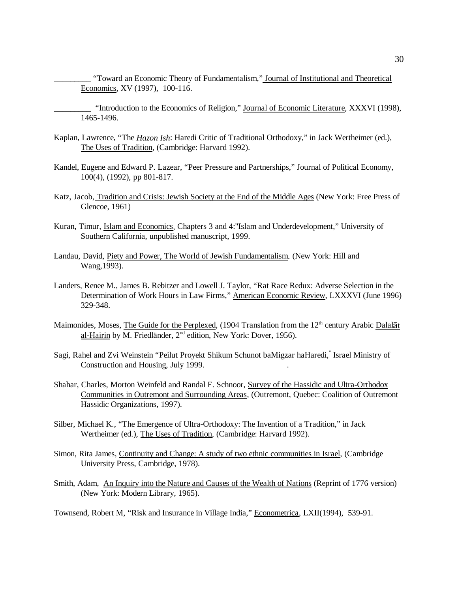\_\_\_\_\_\_\_\_\_ "Toward an Economic Theory of Fundamentalism," Journal of Institutional and Theoretical Economics, XV (1997), 100-116.

\_\_\_\_\_\_\_\_\_ "Introduction to the Economics of Religion," Journal of Economic Literature, XXXVI (1998), 1465-1496.

- Kaplan, Lawrence, "The *Hazon Ish*: Haredi Critic of Traditional Orthodoxy," in Jack Wertheimer (ed.), The Uses of Tradition, (Cambridge: Harvard 1992).
- Kandel, Eugene and Edward P. Lazear, "Peer Pressure and Partnerships," Journal of Political Economy, 100(4), (1992), pp 801-817.
- Katz, Jacob, Tradition and Crisis: Jewish Society at the End of the Middle Ages (New York: Free Press of Glencoe, 1961)
- Kuran, Timur, Islam and Economics*,* Chapters 3 and 4:"Islam and Underdevelopment," University of Southern California, unpublished manuscript, 1999.
- Landau, David, Piety and Power, The World of Jewish Fundamentalism*.* (New York: Hill and Wang,1993).
- Landers, Renee M., James B. Rebitzer and Lowell J. Taylor, "Rat Race Redux: Adverse Selection in the Determination of Work Hours in Law Firms," American Economic Review, LXXXVI (June 1996) 329-348.
- Maimonides, Moses, The Guide for the Perplexed, (1904 Translation from the  $12<sup>th</sup>$  century Arabic Dalalat al-Hairin by M. Friedländer, 2<sup>nd</sup> edition, New York: Dover, 1956).
- Sagi, Rahel and Zvi Weinstein "Peilut Proyekt Shikum Schunot baMigzar haHaredi," Israel Ministry of Construction and Housing, July 1999. .
- Shahar, Charles, Morton Weinfeld and Randal F. Schnoor, Survey of the Hassidic and Ultra-Orthodox Communities in Outremont and Surrounding Areas*,* (Outremont, Quebec: Coalition of Outremont Hassidic Organizations, 1997).
- Silber, Michael K., "The Emergence of Ultra-Orthodoxy: The Invention of a Tradition," in Jack Wertheimer (ed.), The Uses of Tradition, (Cambridge: Harvard 1992).
- Simon, Rita James, Continuity and Change: A study of two ethnic communities in Israel*,* (Cambridge University Press, Cambridge, 1978).
- Smith, Adam, An Inquiry into the Nature and Causes of the Wealth of Nations (Reprint of 1776 version) (New York: Modern Library, 1965).

Townsend, Robert M, "Risk and Insurance in Village India," Econometrica, LXII(1994), 539-91.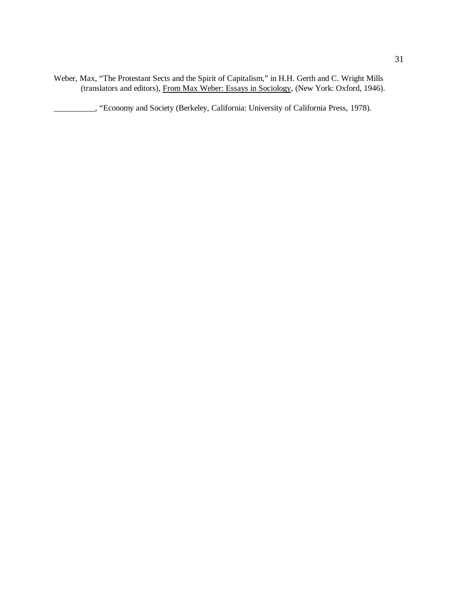Weber, Max, "The Protestant Sects and the Spirit of Capitalism," in H.H. Gerth and C. Wright Mills (translators and editors), From Max Weber: Essays in Sociology, (New York: Oxford, 1946).

\_\_\_\_\_\_\_\_\_\_, "Economy and Society (Berkeley, California: University of California Press, 1978).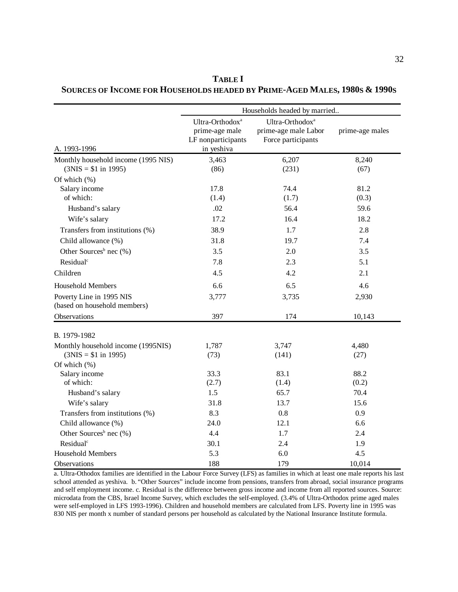|                                                                                                                           | Households headed by married                                                      |                                                                           |                               |  |
|---------------------------------------------------------------------------------------------------------------------------|-----------------------------------------------------------------------------------|---------------------------------------------------------------------------|-------------------------------|--|
| A. 1993-1996                                                                                                              | Ultra-Orthodox <sup>a</sup><br>prime-age male<br>LF nonparticipants<br>in yeshiva | Ultra-Orthodox <sup>a</sup><br>prime-age male Labor<br>Force participants | prime-age males               |  |
| Monthly household income (1995 NIS)<br>$(3NIS = $1 in 1995)$                                                              | 3,463<br>(86)                                                                     | 6,207<br>(231)                                                            | 8,240<br>(67)                 |  |
| Of which $(\% )$<br>Salary income<br>of which:<br>Husband's salary<br>Wife's salary                                       | 17.8<br>(1.4)<br>.02<br>17.2                                                      | 74.4<br>(1.7)<br>56.4<br>16.4                                             | 81.2<br>(0.3)<br>59.6<br>18.2 |  |
| Transfers from institutions (%)<br>Child allowance (%)<br>Other Sources <sup>b</sup> nec $(\% )$<br>Residual <sup>c</sup> | 38.9<br>31.8<br>3.5                                                               | 1.7<br>19.7<br>2.0                                                        | 2.8<br>7.4<br>3.5             |  |
| Children                                                                                                                  | 7.8<br>4.5                                                                        | 2.3<br>4.2                                                                | 5.1<br>2.1                    |  |
| <b>Household Members</b><br>Poverty Line in 1995 NIS<br>(based on household members)<br>Observations                      | 6.6<br>3,777<br>397                                                               | 6.5<br>3,735<br>174                                                       | 4.6<br>2,930<br>10,143        |  |
| B. 1979-1982<br>Monthly household income (1995NIS)<br>$(3NIS = $1 in 1995)$                                               | 1,787<br>(73)                                                                     | 3,747<br>(141)                                                            | 4,480<br>(27)                 |  |
| Of which (%)<br>Salary income<br>of which:<br>Husband's salary<br>Wife's salary                                           | 33.3<br>(2.7)<br>1.5<br>31.8                                                      | 83.1<br>(1.4)<br>65.7<br>13.7                                             | 88.2<br>(0.2)<br>70.4<br>15.6 |  |
| Transfers from institutions (%)<br>Child allowance (%)<br>Other Sources <sup>b</sup> nec $(\% )$<br>Residual <sup>c</sup> | 8.3<br>24.0<br>4.4<br>30.1                                                        | 0.8<br>12.1<br>1.7<br>2.4                                                 | 0.9<br>6.6<br>2.4<br>1.9      |  |
| <b>Household Members</b><br><b>Observations</b>                                                                           | 5.3<br>188                                                                        | 6.0<br>179                                                                | 4.5<br>10,014                 |  |

**TABLE I SOURCES OF INCOME FOR HOUSEHOLDS HEADED BY PRIME-AGED MALES, 1980S & 1990S**

a. Ultra-Othodox families are identified in the Labour Force Survey (LFS) as families in which at least one male reports his last school attended as yeshiva. b. "Other Sources" include income from pensions, transfers from abroad, social insurance programs and self employment income. c. Residual is the difference between gross income and income from all reported sources. Source: microdata from the CBS, Israel Income Survey, which excludes the self-employed. (3.4% of Ultra-Orthodox prime aged males were self-employed in LFS 1993-1996). Children and household members are calculated from LFS. Poverty line in 1995 was 830 NIS per month x number of standard persons per household as calculated by the National Insurance Institute formula.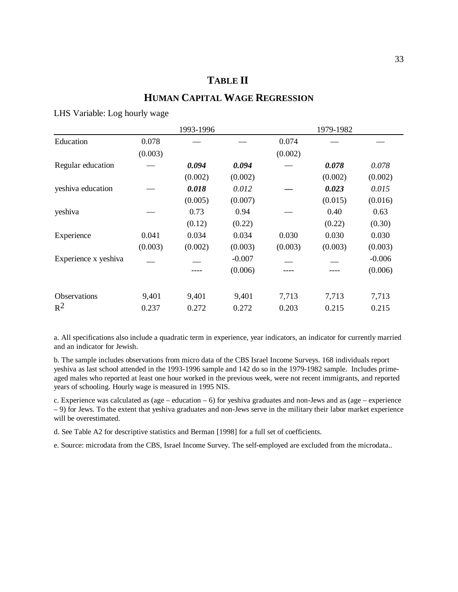## **TABLE II**

## **HUMAN CAPITAL WAGE REGRESSION**

#### LHS Variable: Log hourly wage

|                      |         | 1993-1996 |          |         | 1979-1982 |          |
|----------------------|---------|-----------|----------|---------|-----------|----------|
| Education            | 0.078   |           |          | 0.074   |           |          |
|                      | (0.003) |           |          | (0.002) |           |          |
| Regular education    |         | 0.094     | 0.094    |         | 0.078     | 0.078    |
|                      |         | (0.002)   | (0.002)  |         | (0.002)   | (0.002)  |
| yeshiva education    |         | 0.018     | 0.012    |         | 0.023     | 0.015    |
|                      |         | (0.005)   | (0.007)  |         | (0.015)   | (0.016)  |
| yeshiva              |         | 0.73      | 0.94     |         | 0.40      | 0.63     |
|                      |         | (0.12)    | (0.22)   |         | (0.22)    | (0.30)   |
| Experience           | 0.041   | 0.034     | 0.034    | 0.030   | 0.030     | 0.030    |
|                      | (0.003) | (0.002)   | (0.003)  | (0.003) | (0.003)   | (0.003)  |
| Experience x yeshiva |         |           | $-0.007$ |         |           | $-0.006$ |
|                      |         | ----      | (0.006)  |         |           | (0.006)  |
| Observations         | 9,401   | 9,401     | 9,401    | 7,713   | 7,713     | 7,713    |
| $R^2$                | 0.237   | 0.272     | 0.272    | 0.203   | 0.215     | 0.215    |

a. All specifications also include a quadratic term in experience, year indicators, an indicator for currently married and an indicator for Jewish.

b. The sample includes observations from micro data of the CBS Israel Income Surveys. 168 individuals report yeshiva as last school attended in the 1993-1996 sample and 142 do so in the 1979-1982 sample. Includes primeaged males who reported at least one hour worked in the previous week, were not recent immigrants, and reported years of schooling. Hourly wage is measured in 1995 NIS.

c. Experience was calculated as (age – education – 6) for yeshiva graduates and non-Jews and as (age – experience – 9) for Jews. To the extent that yeshiva graduates and non-Jews serve in the military their labor market experience will be overestimated.

d. See Table A2 for descriptive statistics and Berman [1998] for a full set of coefficients.

e. Source: microdata from the CBS, Israel Income Survey. The self-employed are excluded from the microdata..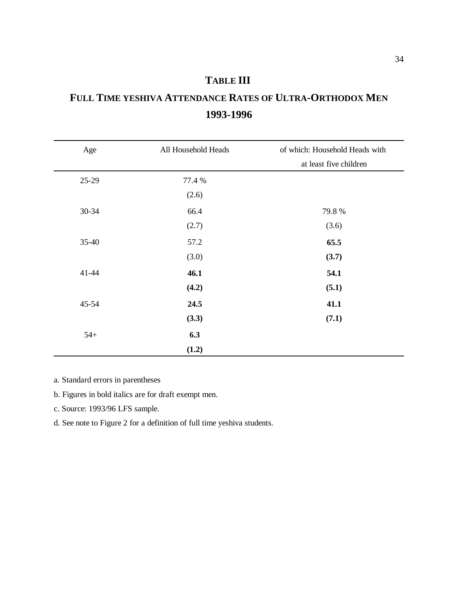## **TABLE III**

# **FULL TIME YESHIVA ATTENDANCE RATES OF ULTRA-ORTHODOX MEN 1993-1996**

| Age       | All Household Heads | of which: Household Heads with |
|-----------|---------------------|--------------------------------|
|           |                     | at least five children         |
| 25-29     | 77.4 %              |                                |
|           | (2.6)               |                                |
| 30-34     | 66.4                | 79.8%                          |
|           | (2.7)               | (3.6)                          |
| $35 - 40$ | 57.2                | 65.5                           |
|           | (3.0)               | (3.7)                          |
| 41-44     | 46.1                | 54.1                           |
|           | (4.2)               | (5.1)                          |
| 45-54     | 24.5                | 41.1                           |
|           | (3.3)               | (7.1)                          |
| $54+$     | 6.3                 |                                |
|           | (1.2)               |                                |

a. Standard errors in parentheses

b. Figures in bold italics are for draft exempt men.

c. Source: 1993/96 LFS sample.

d. See note to Figure 2 for a definition of full time yeshiva students.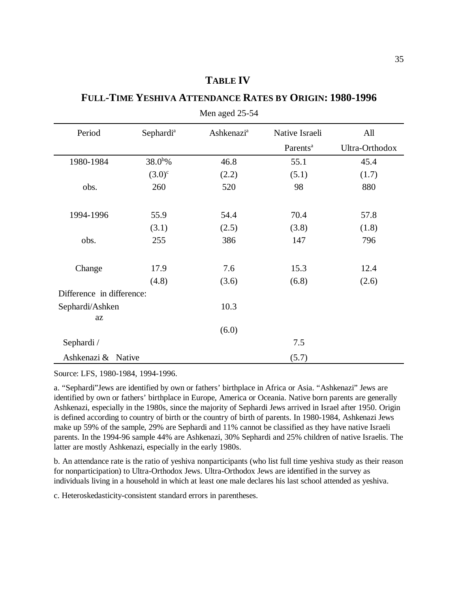### **TABLE IV**

#### **FULL-TIME YESHIVA ATTENDANCE RATES BY ORIGIN: 1980-1996**

| Period                    | Sephardi <sup>a</sup> | <b>Ashkenazi</b> <sup>a</sup> | Native Israeli       | All            |
|---------------------------|-----------------------|-------------------------------|----------------------|----------------|
|                           |                       |                               | Parents <sup>a</sup> | Ultra-Orthodox |
| 1980-1984                 | $38.0^{b}\%$          | 46.8                          | 55.1                 | 45.4           |
|                           | $(3.0)^{c}$           | (2.2)                         | (5.1)                | (1.7)          |
| obs.                      | 260                   | 520                           | 98                   | 880            |
| 1994-1996                 | 55.9                  | 54.4                          | 70.4                 | 57.8           |
|                           | (3.1)                 | (2.5)                         | (3.8)                | (1.8)          |
| obs.                      | 255                   | 386                           | 147                  | 796            |
| Change                    | 17.9                  | 7.6                           | 15.3                 | 12.4           |
|                           | (4.8)                 | (3.6)                         | (6.8)                | (2.6)          |
| Difference in difference: |                       |                               |                      |                |
| Sephardi/Ashken           |                       | 10.3                          |                      |                |
| <b>az</b>                 |                       |                               |                      |                |
|                           |                       | (6.0)                         |                      |                |
| Sephardi /                |                       |                               | 7.5                  |                |
| Ashkenazi & Native        |                       |                               | (5.7)                |                |

Men aged 25-54

Source: LFS, 1980-1984, 1994-1996.

a. "Sephardi"Jews are identified by own or fathers' birthplace in Africa or Asia. "Ashkenazi" Jews are identified by own or fathers' birthplace in Europe, America or Oceania. Native born parents are generally Ashkenazi, especially in the 1980s, since the majority of Sephardi Jews arrived in Israel after 1950. Origin is defined according to country of birth or the country of birth of parents. In 1980-1984, Ashkenazi Jews make up 59% of the sample, 29% are Sephardi and 11% cannot be classified as they have native Israeli parents. In the 1994-96 sample 44% are Ashkenazi, 30% Sephardi and 25% children of native Israelis. The latter are mostly Ashkenazi, especially in the early 1980s.

b. An attendance rate is the ratio of yeshiva nonparticipants (who list full time yeshiva study as their reason for nonparticipation) to Ultra-Orthodox Jews. Ultra-Orthodox Jews are identified in the survey as individuals living in a household in which at least one male declares his last school attended as yeshiva.

c. Heteroskedasticity-consistent standard errors in parentheses.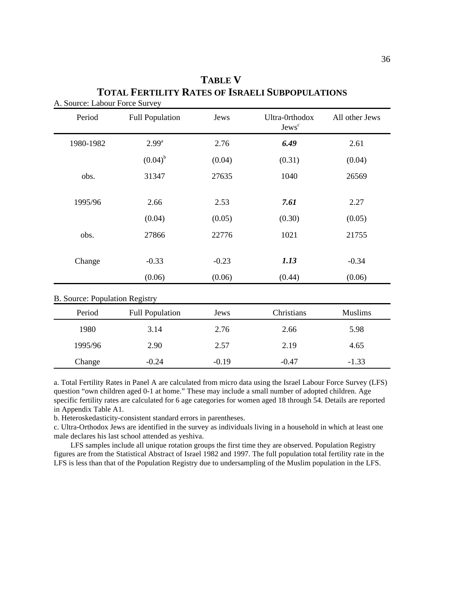| Period                                | <b>Full Population</b> | Jews              | Ultra-0rthodox<br>Jews <sup>c</sup> | All other Jews    |  |
|---------------------------------------|------------------------|-------------------|-------------------------------------|-------------------|--|
| 1980-1982                             | $2.99^{\rm a}$         | 2.76              | 6.49                                | 2.61              |  |
|                                       | $(0.04)^{b}$           | (0.04)            | (0.31)                              | (0.04)            |  |
| obs.                                  | 31347                  | 27635             | 1040                                | 26569             |  |
| 1995/96                               | 2.66                   | 2.53              | 7.61                                | 2.27              |  |
|                                       | (0.04)                 | (0.05)            | (0.30)                              | (0.05)            |  |
| obs.                                  | 27866                  | 22776             | 1021                                | 21755             |  |
| Change                                | $-0.33$<br>(0.06)      | $-0.23$<br>(0.06) | 1.13<br>(0.44)                      | $-0.34$<br>(0.06) |  |
| <b>B. Source: Population Registry</b> |                        |                   |                                     |                   |  |
| Period                                | <b>Full Population</b> | Jews              | Christians                          | <b>Muslims</b>    |  |
| 1980                                  | 3.14                   | 2.76              | 2.66                                | 5.98              |  |
| 1995/96                               | 2.90                   | 2.57              | 2.19                                | 4.65              |  |
| Change                                | $-0.24$                | $-0.19$           | $-0.47$                             | $-1.33$           |  |

## **TABLE V TOTAL FERTILITY RATES OF ISRAELI SUBPOPULATIONS** A. Source: Labour Force Survey

a. Total Fertility Rates in Panel A are calculated from micro data using the Israel Labour Force Survey (LFS) question "own children aged 0-1 at home." These may include a small number of adopted children. Age specific fertility rates are calculated for 6 age categories for women aged 18 through 54. Details are reported in Appendix Table A1.

b. Heteroskedasticity-consistent standard errors in parentheses.

c. Ultra-Orthodox Jews are identified in the survey as individuals living in a household in which at least one male declares his last school attended as yeshiva.

LFS samples include all unique rotation groups the first time they are observed. Population Registry figures are from the Statistical Abstract of Israel 1982 and 1997. The full population total fertility rate in the LFS is less than that of the Population Registry due to undersampling of the Muslim population in the LFS.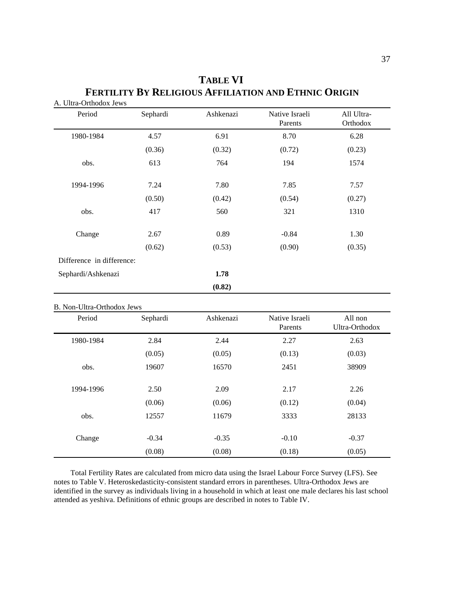| Period                    | Sephardi | Ashkenazi | Native Israeli<br>Parents | All Ultra-<br>Orthodox |
|---------------------------|----------|-----------|---------------------------|------------------------|
| 1980-1984                 | 4.57     | 6.91      | 8.70                      | 6.28                   |
|                           | (0.36)   | (0.32)    | (0.72)                    | (0.23)                 |
| obs.                      | 613      | 764       | 194                       | 1574                   |
| 1994-1996                 | 7.24     | 7.80      | 7.85                      | 7.57                   |
|                           | (0.50)   | (0.42)    | (0.54)                    | (0.27)                 |
| obs.                      | 417      | 560       | 321                       | 1310                   |
| Change                    | 2.67     | 0.89      | $-0.84$                   | 1.30                   |
|                           | (0.62)   | (0.53)    | (0.90)                    | (0.35)                 |
| Difference in difference: |          |           |                           |                        |
| Sephardi/Ashkenazi        |          | 1.78      |                           |                        |
|                           |          | (0.82)    |                           |                        |

## **TABLE VI FERTILITY BY RELIGIOUS AFFILIATION AND ETHNIC ORIGIN** A. Ultra-Orthodox Jews

#### B. Non-Ultra-Orthodox Jews

| Period    | Sephardi | Ashkenazi | Native Israeli<br>Parents | All non<br>Ultra-Orthodox |
|-----------|----------|-----------|---------------------------|---------------------------|
| 1980-1984 | 2.84     | 2.44      | 2.27                      | 2.63                      |
|           | (0.05)   | (0.05)    | (0.13)                    | (0.03)                    |
| obs.      | 19607    | 16570     | 2451                      | 38909                     |
|           |          |           |                           |                           |
| 1994-1996 | 2.50     | 2.09      | 2.17                      | 2.26                      |
|           | (0.06)   | (0.06)    | (0.12)                    | (0.04)                    |
| obs.      | 12557    | 11679     | 3333                      | 28133                     |
|           |          |           |                           |                           |
| Change    | $-0.34$  | $-0.35$   | $-0.10$                   | $-0.37$                   |
|           | (0.08)   | (0.08)    | (0.18)                    | (0.05)                    |

Total Fertility Rates are calculated from micro data using the Israel Labour Force Survey (LFS). See notes to Table V. Heteroskedasticity-consistent standard errors in parentheses. Ultra-Orthodox Jews are identified in the survey as individuals living in a household in which at least one male declares his last school attended as yeshiva. Definitions of ethnic groups are described in notes to Table IV.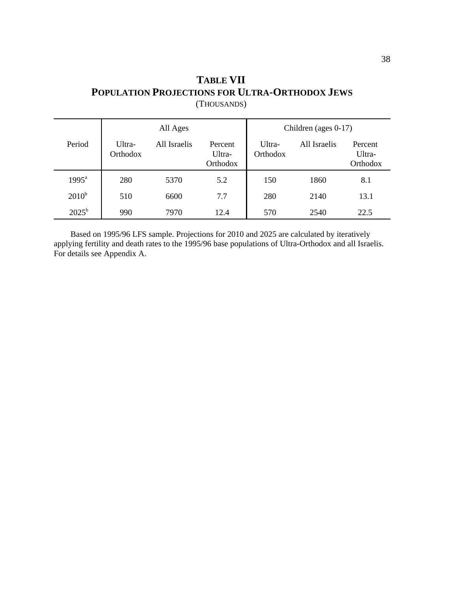## **TABLE VII POPULATION PROJECTIONS FOR ULTRA-ORTHODOX JEWS** (THOUSANDS)

|                |                    | All Ages     |                               |                    | Children (ages $0-17$ ) |                               |
|----------------|--------------------|--------------|-------------------------------|--------------------|-------------------------|-------------------------------|
| Period         | Ultra-<br>Orthodox | All Israelis | Percent<br>Ultra-<br>Orthodox | Ultra-<br>Orthodox | All Israelis            | Percent<br>Ultra-<br>Orthodox |
| $1995^{\circ}$ | 280                | 5370         | 5.2                           | 150                | 1860                    | 8.1                           |
| $2010^b$       | 510                | 6600         | 7.7                           | 280                | 2140                    | 13.1                          |
| $2025^{\rm b}$ | 990                | 7970         | 12.4                          | 570                | 2540                    | 22.5                          |

Based on 1995/96 LFS sample. Projections for 2010 and 2025 are calculated by iteratively applying fertility and death rates to the 1995/96 base populations of Ultra-Orthodox and all Israelis. For details see Appendix A.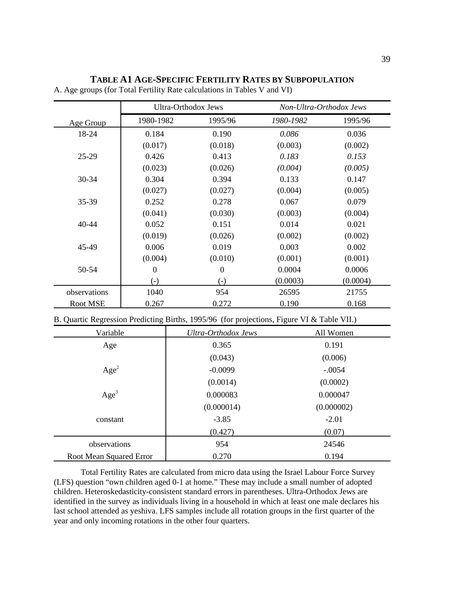#### **TABLE A1 AGE-SPECIFIC FERTILITY RATES BY SUBPOPULATION**

|              | Ultra-Orthodox Jews |                  | Non-Ultra-Orthodox Jews |          |
|--------------|---------------------|------------------|-------------------------|----------|
| Age Group    | 1980-1982           | 1995/96          | 1980-1982               | 1995/96  |
| 18-24        | 0.184               | 0.190            | 0.086                   | 0.036    |
|              | (0.017)             | (0.018)          | (0.003)                 | (0.002)  |
| $25-29$      | 0.426               | 0.413            | 0.183                   | 0.153    |
|              | (0.023)             | (0.026)          | (0.004)                 | (0.005)  |
| $30 - 34$    | 0.304               | 0.394            | 0.133                   | 0.147    |
|              | (0.027)             | (0.027)          | (0.004)                 | (0.005)  |
| 35-39        | 0.252               | 0.278            | 0.067                   | 0.079    |
|              | (0.041)             | (0.030)          | (0.003)                 | (0.004)  |
| 40-44        | 0.052               | 0.151            | 0.014                   | 0.021    |
|              | (0.019)             | (0.026)          | (0.002)                 | (0.002)  |
| 45-49        | 0.006               | 0.019            | 0.003                   | 0.002    |
|              | (0.004)             | (0.010)          | (0.001)                 | (0.001)  |
| 50-54        | $\overline{0}$      | $\boldsymbol{0}$ | 0.0004                  | 0.0006   |
|              | $(-)$               | $(-)$            | (0.0003)                | (0.0004) |
| observations | 1040                | 954              | 26595                   | 21755    |
| Root MSE     | 0.267               | 0.272            | 0.190                   | 0.168    |

A. Age groups (for Total Fertility Rate calculations in Tables V and VI)

B. Quartic Regression Predicting Births, 1995/96 (for projections, Figure VI & Table VII.)

| Variable                       | Ultra-Orthodox Jews | All Women  |
|--------------------------------|---------------------|------------|
| Age                            | 0.365               | 0.191      |
|                                | (0.043)             | (0.006)    |
| Age <sup>2</sup>               | $-0.0099$           | $-.0054$   |
|                                | (0.0014)            | (0.0002)   |
| Age <sup>3</sup>               | 0.000083            | 0.000047   |
|                                | (0.000014)          | (0.000002) |
| constant                       | $-3.85$             | $-2.01$    |
|                                | (0.427)             | (0.07)     |
| observations                   | 954                 | 24546      |
| <b>Root Mean Squared Error</b> | 0.270               | 0.194      |

Total Fertility Rates are calculated from micro data using the Israel Labour Force Survey (LFS) question "own children aged 0-1 at home." These may include a small number of adopted children. Heteroskedasticity-consistent standard errors in parentheses. Ultra-Orthodox Jews are identified in the survey as individuals living in a household in which at least one male declares his last school attended as yeshiva. LFS samples include all rotation groups in the first quarter of the year and only incoming rotations in the other four quarters.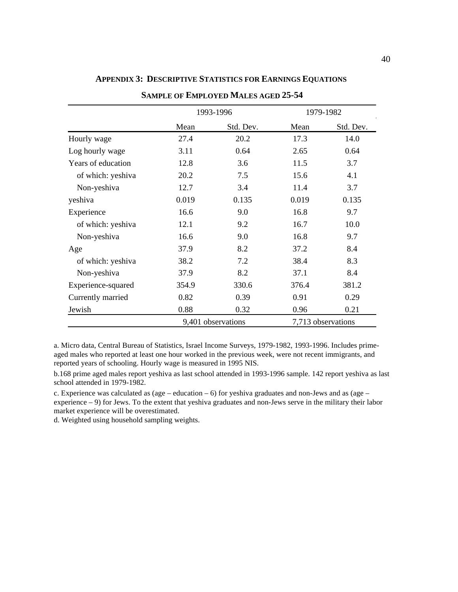|                    | 1993-1996          |           |       | 1979-1982          |
|--------------------|--------------------|-----------|-------|--------------------|
|                    | Mean               | Std. Dev. | Mean  | Std. Dev.          |
| Hourly wage        | 27.4               | 20.2      | 17.3  | 14.0               |
| Log hourly wage    | 3.11               | 0.64      | 2.65  | 0.64               |
| Years of education | 12.8               | 3.6       | 11.5  | 3.7                |
| of which: yeshiva  | 20.2               | 7.5       | 15.6  | 4.1                |
| Non-yeshiva        | 12.7               | 3.4       | 11.4  | 3.7                |
| yeshiva            | 0.019              | 0.135     | 0.019 | 0.135              |
| Experience         | 16.6               | 9.0       | 16.8  | 9.7                |
| of which: yeshiva  | 12.1               | 9.2       | 16.7  | 10.0               |
| Non-yeshiva        | 16.6               | 9.0       | 16.8  | 9.7                |
| Age                | 37.9               | 8.2       | 37.2  | 8.4                |
| of which: yeshiva  | 38.2               | 7.2       | 38.4  | 8.3                |
| Non-yeshiva        | 37.9               | 8.2       | 37.1  | 8.4                |
| Experience-squared | 354.9              | 330.6     | 376.4 | 381.2              |
| Currently married  | 0.82               | 0.39      | 0.91  | 0.29               |
| Jewish             | 0.88               | 0.32      | 0.96  | 0.21               |
|                    | 9,401 observations |           |       | 7,713 observations |

#### **APPENDIX 3: DESCRIPTIVE STATISTICS FOR EARNINGS EQUATIONS**

**SAMPLE OF EMPLOYED MALES AGED 25-54**

a. Micro data, Central Bureau of Statistics, Israel Income Surveys, 1979-1982, 1993-1996. Includes primeaged males who reported at least one hour worked in the previous week, were not recent immigrants, and reported years of schooling. Hourly wage is measured in 1995 NIS.

b.168 prime aged males report yeshiva as last school attended in 1993-1996 sample. 142 report yeshiva as last school attended in 1979-1982.

c. Experience was calculated as (age – education – 6) for yeshiva graduates and non-Jews and as (age – experience – 9) for Jews. To the extent that yeshiva graduates and non-Jews serve in the military their labor market experience will be overestimated.

d. Weighted using household sampling weights.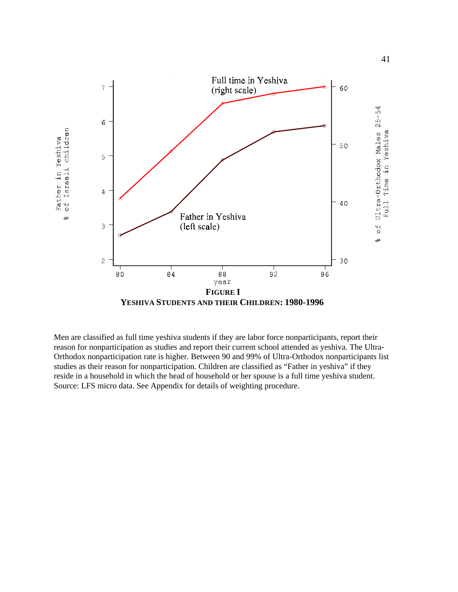

Men are classified as full time yeshiva students if they are labor force nonparticipants, report their reason for nonparticipation as studies and report their current school attended as yeshiva. The Ultra-Orthodox nonparticipation rate is higher. Between 90 and 99% of Ultra-Orthodox nonparticipants list studies as their reason for nonparticipation. Children are classified as "Father in yeshiva" if they reside in a household in which the head of household or her spouse is a full time yeshiva student. Source: LFS micro data. See Appendix for details of weighting procedure.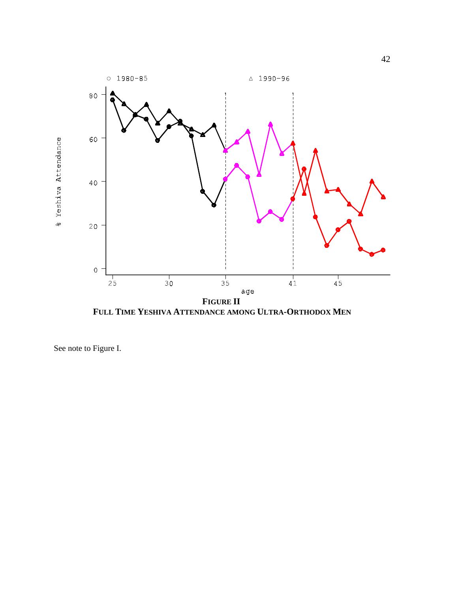

**FULL TIME YESHIVA ATTENDANCE AMONG ULTRA-ORTHODOX MEN**

See note to Figure I.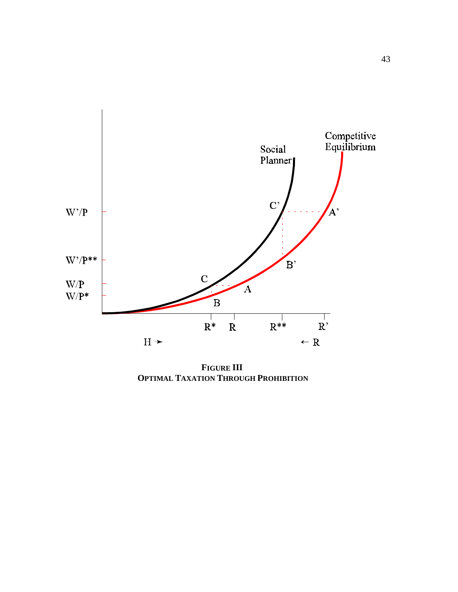

**FIGURE III OPTIMAL TAXATION THROUGH PROHIBITION**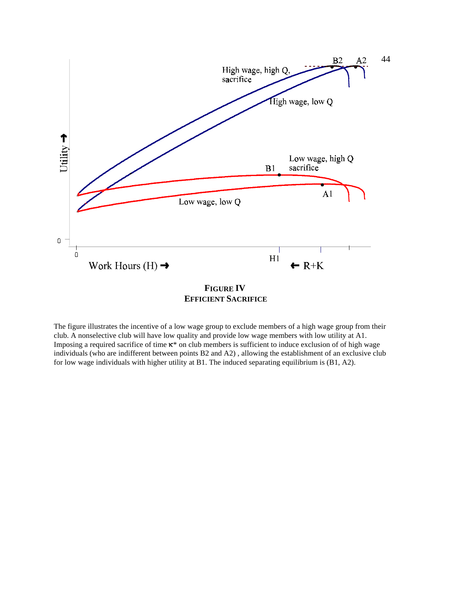

The figure illustrates the incentive of a low wage group to exclude members of a high wage group from their club. A nonselective club will have low quality and provide low wage members with low utility at A1. Imposing a required sacrifice of time  $\kappa^*$  on club members is sufficient to induce exclusion of of high wage individuals (who are indifferent between points B2 and A2) , allowing the establishment of an exclusive club for low wage individuals with higher utility at B1. The induced separating equilibrium is (B1, A2).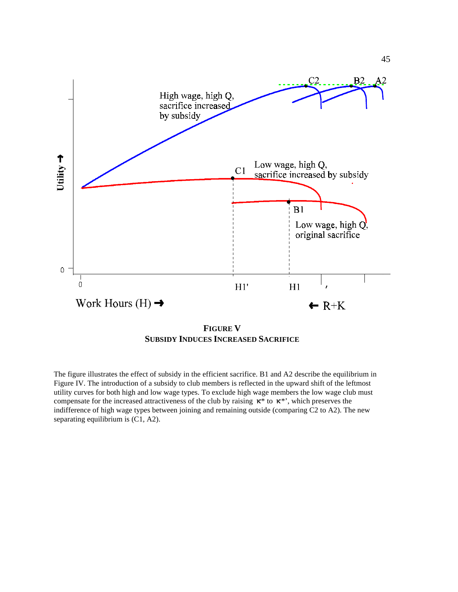

**FIGURE V SUBSIDY INDUCES INCREASED SACRIFICE**

The figure illustrates the effect of subsidy in the efficient sacrifice. B1 and A2 describe the equilibrium in Figure IV. The introduction of a subsidy to club members is reflected in the upward shift of the leftmost utility curves for both high and low wage types. To exclude high wage members the low wage club must compensate for the increased attractiveness of the club by raising  $\kappa^*$  to  $\kappa^*$ , which preserves the indifference of high wage types between joining and remaining outside (comparing C2 to A2). The new separating equilibrium is (C1, A2).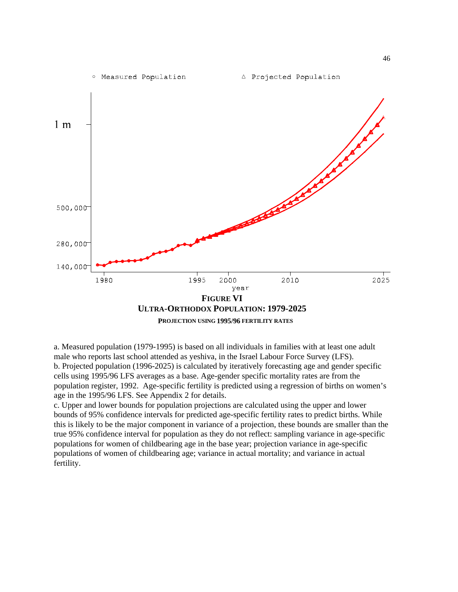

a. Measured population (1979-1995) is based on all individuals in families with at least one adult male who reports last school attended as yeshiva, in the Israel Labour Force Survey (LFS). b. Projected population (1996-2025) is calculated by iteratively forecasting age and gender specific cells using 1995/96 LFS averages as a base. Age-gender specific mortality rates are from the population register, 1992. Age-specific fertility is predicted using a regression of births on women's age in the 1995/96 LFS. See Appendix 2 for details.

c. Upper and lower bounds for population projections are calculated using the upper and lower bounds of 95% confidence intervals for predicted age-specific fertility rates to predict births. While this is likely to be the major component in variance of a projection, these bounds are smaller than the true 95% confidence interval for population as they do not reflect: sampling variance in age-specific populations for women of childbearing age in the base year; projection variance in age-specific populations of women of childbearing age; variance in actual mortality; and variance in actual fertility.